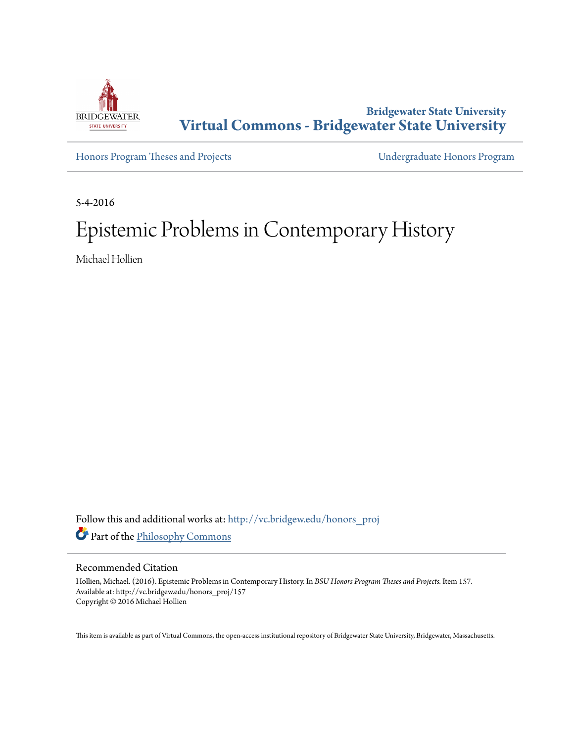

# **Bridgewater State University [Virtual Commons - Bridgewater State University](http://vc.bridgew.edu?utm_source=vc.bridgew.edu%2Fhonors_proj%2F157&utm_medium=PDF&utm_campaign=PDFCoverPages)**

[Honors Program Theses and Projects](http://vc.bridgew.edu/honors_proj?utm_source=vc.bridgew.edu%2Fhonors_proj%2F157&utm_medium=PDF&utm_campaign=PDFCoverPages) [Undergraduate Honors Program](http://vc.bridgew.edu/honors?utm_source=vc.bridgew.edu%2Fhonors_proj%2F157&utm_medium=PDF&utm_campaign=PDFCoverPages)

5-4-2016

# Epistemic Problems in Contemporary History

Michael Hollien

Follow this and additional works at: [http://vc.bridgew.edu/honors\\_proj](http://vc.bridgew.edu/honors_proj?utm_source=vc.bridgew.edu%2Fhonors_proj%2F157&utm_medium=PDF&utm_campaign=PDFCoverPages) Part of the [Philosophy Commons](http://network.bepress.com/hgg/discipline/525?utm_source=vc.bridgew.edu%2Fhonors_proj%2F157&utm_medium=PDF&utm_campaign=PDFCoverPages)

## Recommended Citation

Hollien, Michael. (2016). Epistemic Problems in Contemporary History. In *BSU Honors Program Theses and Projects.* Item 157. Available at: http://vc.bridgew.edu/honors\_proj/157 Copyright © 2016 Michael Hollien

This item is available as part of Virtual Commons, the open-access institutional repository of Bridgewater State University, Bridgewater, Massachusetts.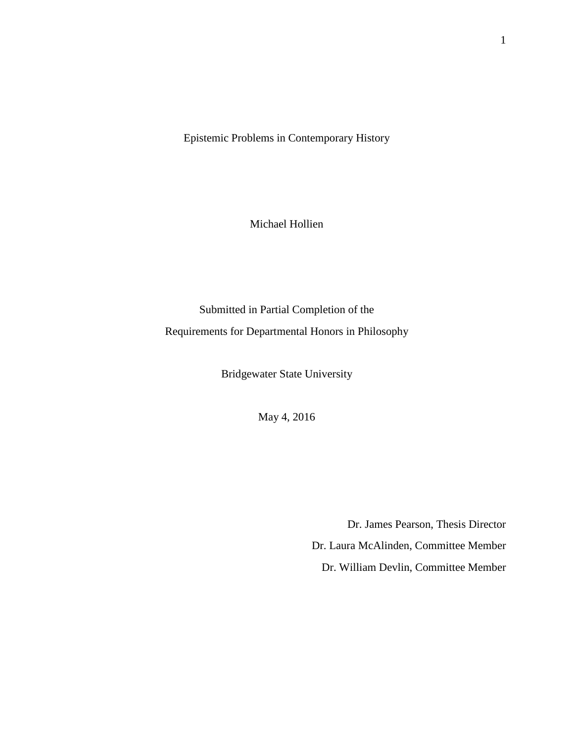Epistemic Problems in Contemporary History

Michael Hollien

Submitted in Partial Completion of the Requirements for Departmental Honors in Philosophy

Bridgewater State University

May 4, 2016

Dr. James Pearson, Thesis Director Dr. Laura McAlinden, Committee Member Dr. William Devlin, Committee Member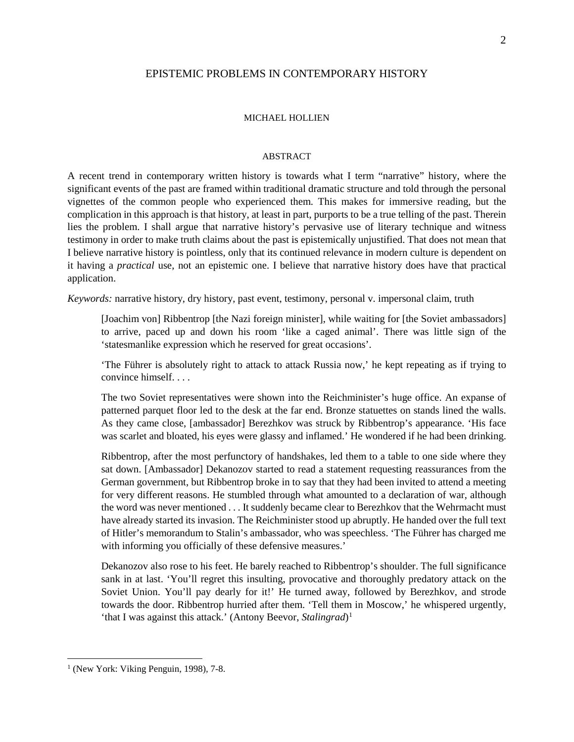## EPISTEMIC PROBLEMS IN CONTEMPORARY HISTORY

#### MICHAEL HOLLIEN

### ABSTRACT

A recent trend in contemporary written history is towards what I term "narrative" history, where the significant events of the past are framed within traditional dramatic structure and told through the personal vignettes of the common people who experienced them. This makes for immersive reading, but the complication in this approach is that history, at least in part, purports to be a true telling of the past. Therein lies the problem. I shall argue that narrative history's pervasive use of literary technique and witness testimony in order to make truth claims about the past is epistemically unjustified. That does not mean that I believe narrative history is pointless, only that its continued relevance in modern culture is dependent on it having a *practical* use, not an epistemic one. I believe that narrative history does have that practical application.

*Keywords:* narrative history, dry history, past event, testimony, personal v. impersonal claim, truth

[Joachim von] Ribbentrop [the Nazi foreign minister], while waiting for [the Soviet ambassadors] to arrive, paced up and down his room 'like a caged animal'. There was little sign of the 'statesmanlike expression which he reserved for great occasions'.

'The Führer is absolutely right to attack to attack Russia now,' he kept repeating as if trying to convince himself. . . .

The two Soviet representatives were shown into the Reichminister's huge office. An expanse of patterned parquet floor led to the desk at the far end. Bronze statuettes on stands lined the walls. As they came close, [ambassador] Berezhkov was struck by Ribbentrop's appearance. 'His face was scarlet and bloated, his eyes were glassy and inflamed.' He wondered if he had been drinking.

Ribbentrop, after the most perfunctory of handshakes, led them to a table to one side where they sat down. [Ambassador] Dekanozov started to read a statement requesting reassurances from the German government, but Ribbentrop broke in to say that they had been invited to attend a meeting for very different reasons. He stumbled through what amounted to a declaration of war, although the word was never mentioned . . . It suddenly became clear to Berezhkov that the Wehrmacht must have already started its invasion. The Reichminister stood up abruptly. He handed over the full text of Hitler's memorandum to Stalin's ambassador, who was speechless. 'The Führer has charged me with informing you officially of these defensive measures.'

Dekanozov also rose to his feet. He barely reached to Ribbentrop's shoulder. The full significance sank in at last. 'You'll regret this insulting, provocative and thoroughly predatory attack on the Soviet Union. You'll pay dearly for it!' He turned away, followed by Berezhkov, and strode towards the door. Ribbentrop hurried after them. 'Tell them in Moscow,' he whispered urgently, 'that I was against this attack.' (Antony Beevor, *Stalingrad*)<sup>1</sup>

<span id="page-2-0"></span><sup>&</sup>lt;sup>1</sup> (New York: Viking Penguin, 1998), 7-8.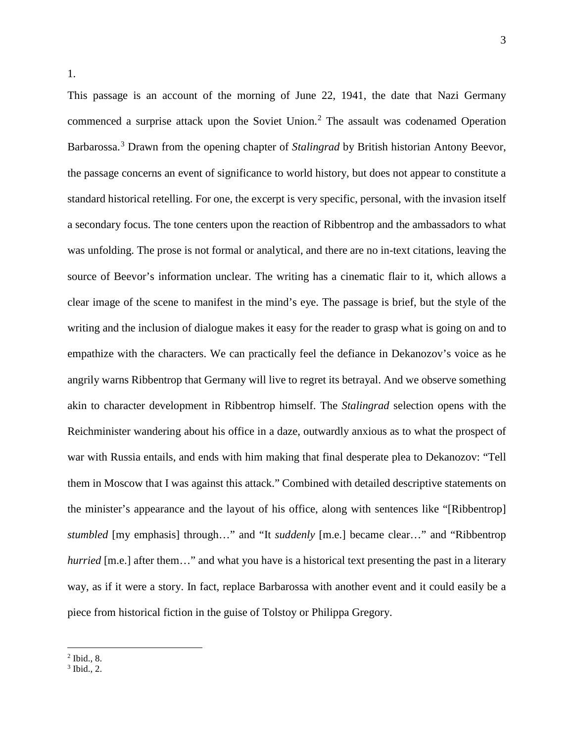This passage is an account of the morning of June 22, 1941, the date that Nazi Germany commenced a surprise attack upon the Soviet Union.<sup>[2](#page-3-0)</sup> The assault was codenamed Operation Barbarossa.[3](#page-3-1) Drawn from the opening chapter of *Stalingrad* by British historian Antony Beevor, the passage concerns an event of significance to world history, but does not appear to constitute a standard historical retelling. For one, the excerpt is very specific, personal, with the invasion itself a secondary focus. The tone centers upon the reaction of Ribbentrop and the ambassadors to what was unfolding. The prose is not formal or analytical, and there are no in-text citations, leaving the source of Beevor's information unclear. The writing has a cinematic flair to it, which allows a clear image of the scene to manifest in the mind's eye. The passage is brief, but the style of the writing and the inclusion of dialogue makes it easy for the reader to grasp what is going on and to empathize with the characters. We can practically feel the defiance in Dekanozov's voice as he angrily warns Ribbentrop that Germany will live to regret its betrayal. And we observe something akin to character development in Ribbentrop himself. The *Stalingrad* selection opens with the Reichminister wandering about his office in a daze, outwardly anxious as to what the prospect of war with Russia entails, and ends with him making that final desperate plea to Dekanozov: "Tell them in Moscow that I was against this attack." Combined with detailed descriptive statements on the minister's appearance and the layout of his office, along with sentences like "[Ribbentrop] *stumbled* [my emphasis] through…" and "It *suddenly* [m.e.] became clear…" and "Ribbentrop *hurried* [m.e.] after them..." and what you have is a historical text presenting the past in a literary way, as if it were a story. In fact, replace Barbarossa with another event and it could easily be a piece from historical fiction in the guise of Tolstoy or Philippa Gregory.

l  $<sup>2</sup>$  Ibid., 8.</sup>

<span id="page-3-1"></span><span id="page-3-0"></span><sup>3</sup> Ibid., 2.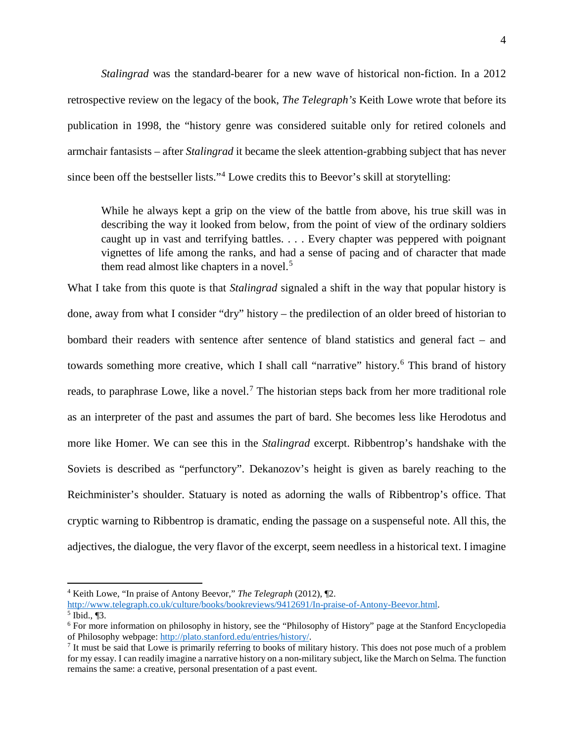*Stalingrad* was the standard-bearer for a new wave of historical non-fiction. In a 2012 retrospective review on the legacy of the book, *The Telegraph's* Keith Lowe wrote that before its publication in 1998, the "history genre was considered suitable only for retired colonels and armchair fantasists – after *Stalingrad* it became the sleek attention-grabbing subject that has never since been off the bestseller lists."[4](#page-4-0) Lowe credits this to Beevor's skill at storytelling:

While he always kept a grip on the view of the battle from above, his true skill was in describing the way it looked from below, from the point of view of the ordinary soldiers caught up in vast and terrifying battles. . . . Every chapter was peppered with poignant vignettes of life among the ranks, and had a sense of pacing and of character that made them read almost like chapters in a novel.<sup>[5](#page-4-1)</sup>

What I take from this quote is that *Stalingrad* signaled a shift in the way that popular history is done, away from what I consider "dry" history – the predilection of an older breed of historian to bombard their readers with sentence after sentence of bland statistics and general fact – and towards something more creative, which I shall call "narrative" history.<sup>[6](#page-4-2)</sup> This brand of history reads, to paraphrase Lowe, like a novel.<sup>[7](#page-4-3)</sup> The historian steps back from her more traditional role as an interpreter of the past and assumes the part of bard. She becomes less like Herodotus and more like Homer. We can see this in the *Stalingrad* excerpt. Ribbentrop's handshake with the Soviets is described as "perfunctory". Dekanozov's height is given as barely reaching to the Reichminister's shoulder. Statuary is noted as adorning the walls of Ribbentrop's office. That cryptic warning to Ribbentrop is dramatic, ending the passage on a suspenseful note. All this, the adjectives, the dialogue, the very flavor of the excerpt, seem needless in a historical text. I imagine

<span id="page-4-0"></span><sup>4</sup> Keith Lowe, "In praise of Antony Beevor," *The Telegraph* (2012), ¶2.

<span id="page-4-1"></span>[http://www.telegraph.co.uk/culture/books/bookreviews/9412691/In-praise-of-Antony-Beevor.html.](http://www.telegraph.co.uk/culture/books/bookreviews/9412691/In-praise-of-Antony-Beevor.html)<br>5 Ibid., ¶3.

<span id="page-4-2"></span> $6$  For more information on philosophy in history, see the "Philosophy of History" page at the Stanford Encyclopedia of Philosophy webpage: http://plato.stanford.edu/entries/history/.

<span id="page-4-3"></span><sup>&</sup>lt;sup>7</sup> It must be said that Lowe is primarily referring to books of military history. This does not pose much of a problem for my essay. I can readily imagine a narrative history on a non-military subject, like the March on Selma. The function remains the same: a creative, personal presentation of a past event.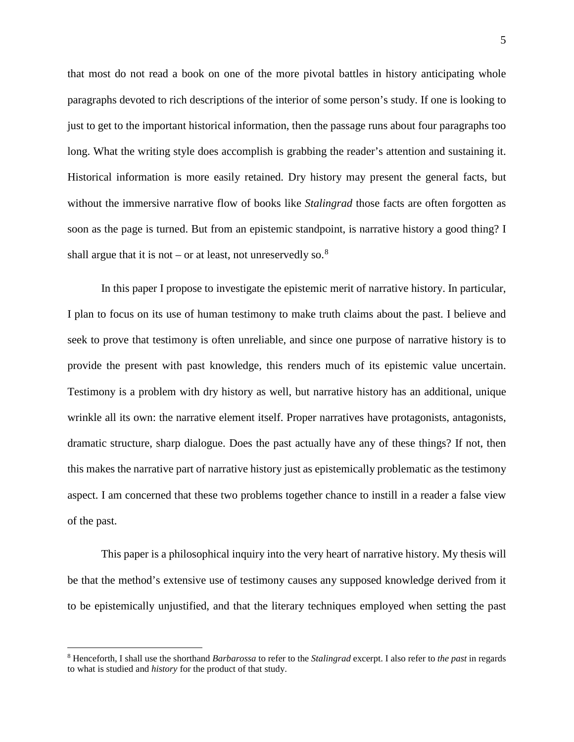that most do not read a book on one of the more pivotal battles in history anticipating whole paragraphs devoted to rich descriptions of the interior of some person's study. If one is looking to just to get to the important historical information, then the passage runs about four paragraphs too long. What the writing style does accomplish is grabbing the reader's attention and sustaining it. Historical information is more easily retained. Dry history may present the general facts, but without the immersive narrative flow of books like *Stalingrad* those facts are often forgotten as soon as the page is turned. But from an epistemic standpoint, is narrative history a good thing? I shall argue that it is not – or at least, not unreservedly so.  $8$ 

In this paper I propose to investigate the epistemic merit of narrative history. In particular, I plan to focus on its use of human testimony to make truth claims about the past. I believe and seek to prove that testimony is often unreliable, and since one purpose of narrative history is to provide the present with past knowledge, this renders much of its epistemic value uncertain. Testimony is a problem with dry history as well, but narrative history has an additional, unique wrinkle all its own: the narrative element itself. Proper narratives have protagonists, antagonists, dramatic structure, sharp dialogue. Does the past actually have any of these things? If not, then this makes the narrative part of narrative history just as epistemically problematic as the testimony aspect. I am concerned that these two problems together chance to instill in a reader a false view of the past.

This paper is a philosophical inquiry into the very heart of narrative history. My thesis will be that the method's extensive use of testimony causes any supposed knowledge derived from it to be epistemically unjustified, and that the literary techniques employed when setting the past

<span id="page-5-0"></span><sup>8</sup> Henceforth, I shall use the shorthand *Barbarossa* to refer to the *Stalingrad* excerpt. I also refer to *the past* in regards to what is studied and *history* for the product of that study.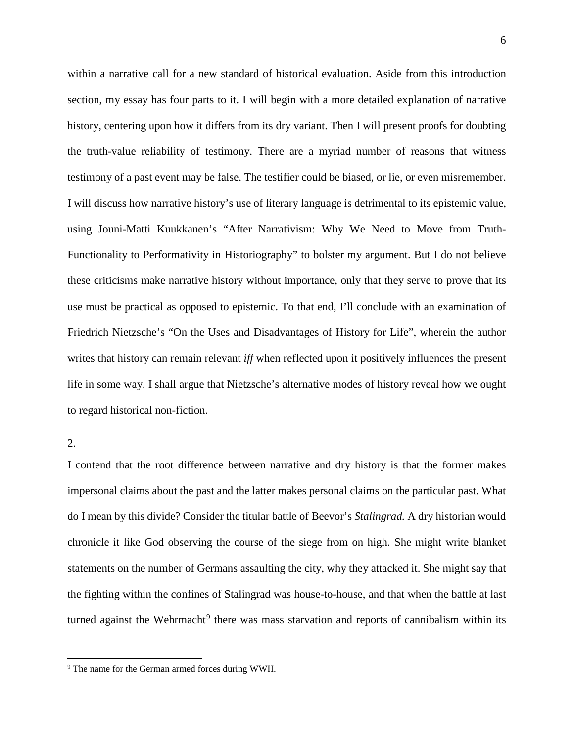within a narrative call for a new standard of historical evaluation. Aside from this introduction section, my essay has four parts to it. I will begin with a more detailed explanation of narrative history, centering upon how it differs from its dry variant. Then I will present proofs for doubting the truth-value reliability of testimony. There are a myriad number of reasons that witness testimony of a past event may be false. The testifier could be biased, or lie, or even misremember. I will discuss how narrative history's use of literary language is detrimental to its epistemic value, using Jouni-Matti Kuukkanen's "After Narrativism: Why We Need to Move from Truth-Functionality to Performativity in Historiography" to bolster my argument. But I do not believe these criticisms make narrative history without importance, only that they serve to prove that its use must be practical as opposed to epistemic. To that end, I'll conclude with an examination of Friedrich Nietzsche's "On the Uses and Disadvantages of History for Life", wherein the author writes that history can remain relevant *iff* when reflected upon it positively influences the present life in some way. I shall argue that Nietzsche's alternative modes of history reveal how we ought to regard historical non-fiction.

# 2.

l

I contend that the root difference between narrative and dry history is that the former makes impersonal claims about the past and the latter makes personal claims on the particular past. What do I mean by this divide? Consider the titular battle of Beevor's *Stalingrad.* A dry historian would chronicle it like God observing the course of the siege from on high. She might write blanket statements on the number of Germans assaulting the city, why they attacked it. She might say that the fighting within the confines of Stalingrad was house-to-house, and that when the battle at last turned against the Wehrmacht<sup>[9](#page-6-0)</sup> there was mass starvation and reports of cannibalism within its

<span id="page-6-0"></span><sup>9</sup> The name for the German armed forces during WWII.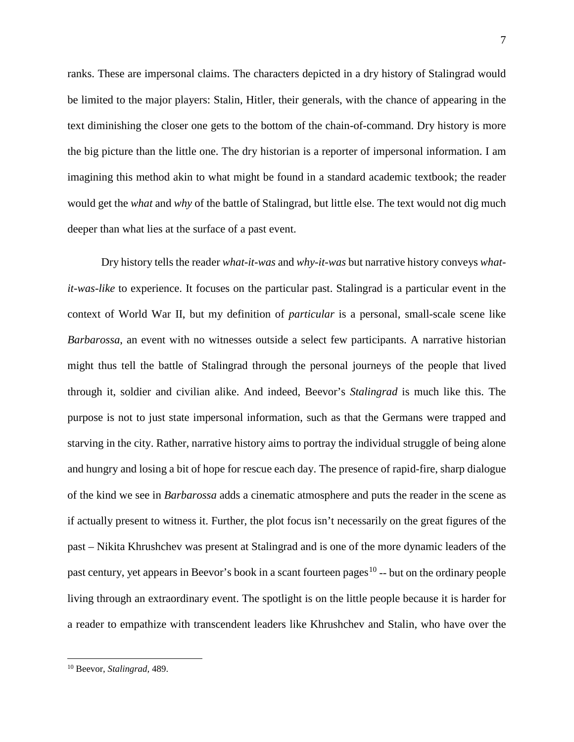ranks. These are impersonal claims. The characters depicted in a dry history of Stalingrad would be limited to the major players: Stalin, Hitler, their generals, with the chance of appearing in the text diminishing the closer one gets to the bottom of the chain-of-command. Dry history is more the big picture than the little one. The dry historian is a reporter of impersonal information. I am imagining this method akin to what might be found in a standard academic textbook; the reader would get the *what* and *why* of the battle of Stalingrad, but little else. The text would not dig much deeper than what lies at the surface of a past event.

Dry history tells the reader *what-it-was* and *why-it-was* but narrative history conveys *whatit-was-like* to experience. It focuses on the particular past. Stalingrad is a particular event in the context of World War II, but my definition of *particular* is a personal, small-scale scene like *Barbarossa*, an event with no witnesses outside a select few participants. A narrative historian might thus tell the battle of Stalingrad through the personal journeys of the people that lived through it, soldier and civilian alike. And indeed, Beevor's *Stalingrad* is much like this. The purpose is not to just state impersonal information, such as that the Germans were trapped and starving in the city. Rather, narrative history aims to portray the individual struggle of being alone and hungry and losing a bit of hope for rescue each day. The presence of rapid-fire, sharp dialogue of the kind we see in *Barbarossa* adds a cinematic atmosphere and puts the reader in the scene as if actually present to witness it. Further, the plot focus isn't necessarily on the great figures of the past – Nikita Khrushchev was present at Stalingrad and is one of the more dynamic leaders of the past century, yet appears in Beevor's book in a scant fourteen pages<sup>[10](#page-7-0)</sup> -- but on the ordinary people living through an extraordinary event. The spotlight is on the little people because it is harder for a reader to empathize with transcendent leaders like Khrushchev and Stalin, who have over the

<span id="page-7-0"></span><sup>10</sup> Beevor, *Stalingrad,* 489.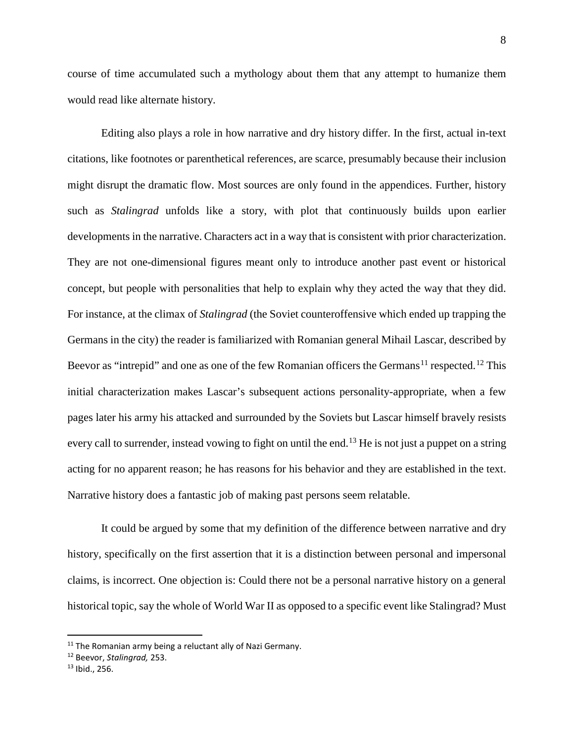course of time accumulated such a mythology about them that any attempt to humanize them would read like alternate history.

Editing also plays a role in how narrative and dry history differ. In the first, actual in-text citations, like footnotes or parenthetical references, are scarce, presumably because their inclusion might disrupt the dramatic flow. Most sources are only found in the appendices. Further, history such as *Stalingrad* unfolds like a story, with plot that continuously builds upon earlier developments in the narrative. Characters act in a way that is consistent with prior characterization. They are not one-dimensional figures meant only to introduce another past event or historical concept, but people with personalities that help to explain why they acted the way that they did. For instance, at the climax of *Stalingrad* (the Soviet counteroffensive which ended up trapping the Germans in the city) the reader is familiarized with Romanian general Mihail Lascar, described by Beevor as "intrepid" and one as one of the few Romanian officers the Germans<sup>[11](#page-8-0)</sup> respected.<sup>[12](#page-8-1)</sup> This initial characterization makes Lascar's subsequent actions personality-appropriate, when a few pages later his army his attacked and surrounded by the Soviets but Lascar himself bravely resists every call to surrender, instead vowing to fight on until the end.<sup>[13](#page-8-2)</sup> He is not just a puppet on a string acting for no apparent reason; he has reasons for his behavior and they are established in the text. Narrative history does a fantastic job of making past persons seem relatable.

It could be argued by some that my definition of the difference between narrative and dry history, specifically on the first assertion that it is a distinction between personal and impersonal claims, is incorrect. One objection is: Could there not be a personal narrative history on a general historical topic, say the whole of World War II as opposed to a specific event like Stalingrad? Must

<span id="page-8-0"></span> $11$  The Romanian army being a reluctant ally of Nazi Germany.

<span id="page-8-1"></span><sup>12</sup> Beevor, *Stalingrad,* 253.

<span id="page-8-2"></span> $13$  Ibid., 256.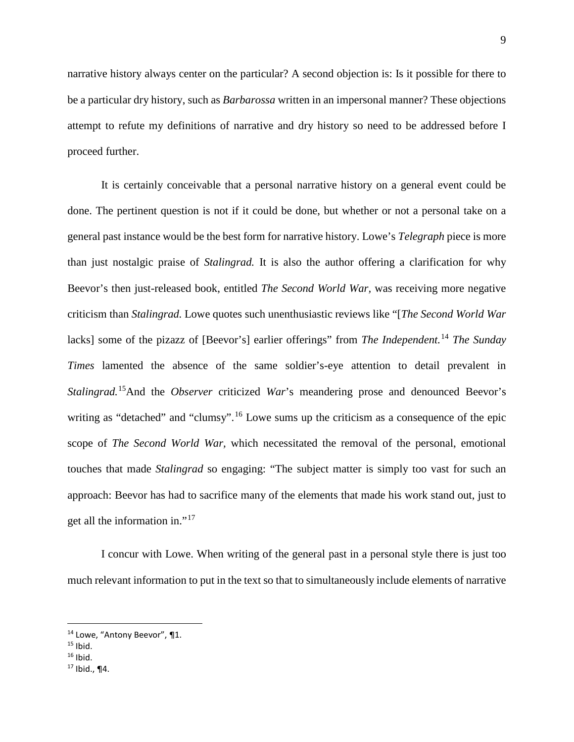narrative history always center on the particular? A second objection is: Is it possible for there to be a particular dry history, such as *Barbarossa* written in an impersonal manner? These objections attempt to refute my definitions of narrative and dry history so need to be addressed before I proceed further.

It is certainly conceivable that a personal narrative history on a general event could be done. The pertinent question is not if it could be done, but whether or not a personal take on a general past instance would be the best form for narrative history. Lowe's *Telegraph* piece is more than just nostalgic praise of *Stalingrad.* It is also the author offering a clarification for why Beevor's then just-released book, entitled *The Second World War,* was receiving more negative criticism than *Stalingrad.* Lowe quotes such unenthusiastic reviews like "[*The Second World War* lacks] some of the pizazz of [Beevor's] earlier offerings" from *The Independent.*[14](#page-9-0) *The Sunday Times* lamented the absence of the same soldier's-eye attention to detail prevalent in *Stalingrad.*[15](#page-9-1)And the *Observer* criticized *War*'s meandering prose and denounced Beevor's writing as "detached" and "clumsy".<sup>[16](#page-9-2)</sup> Lowe sums up the criticism as a consequence of the epic scope of *The Second World War,* which necessitated the removal of the personal, emotional touches that made *Stalingrad* so engaging: "The subject matter is simply too vast for such an approach: Beevor has had to sacrifice many of the elements that made his work stand out, just to get all the information in."[17](#page-9-3)

I concur with Lowe. When writing of the general past in a personal style there is just too much relevant information to put in the text so that to simultaneously include elements of narrative

<span id="page-9-0"></span><sup>14</sup> Lowe, "Antony Beevor", ¶1.

<span id="page-9-1"></span> $15$  Ibid.

<span id="page-9-2"></span> $16$  Ibid.

<span id="page-9-3"></span> $17$  Ibid., ¶4.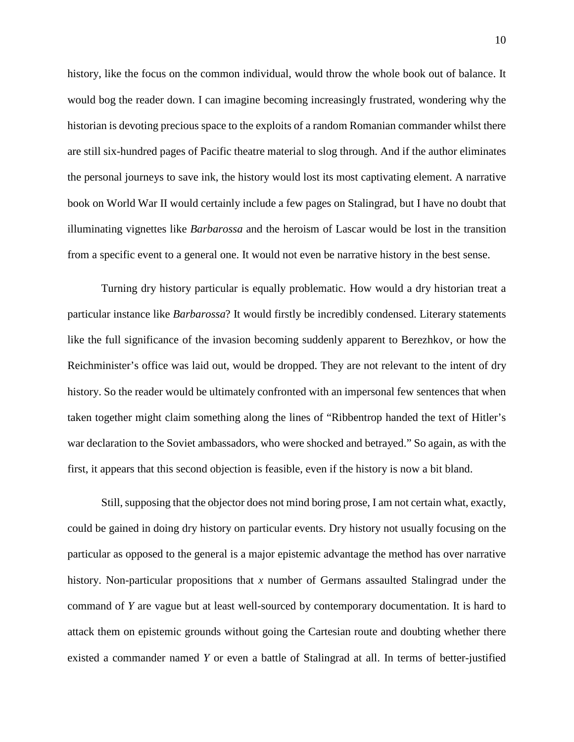history, like the focus on the common individual, would throw the whole book out of balance. It would bog the reader down. I can imagine becoming increasingly frustrated, wondering why the historian is devoting precious space to the exploits of a random Romanian commander whilst there are still six-hundred pages of Pacific theatre material to slog through. And if the author eliminates the personal journeys to save ink, the history would lost its most captivating element. A narrative book on World War II would certainly include a few pages on Stalingrad, but I have no doubt that illuminating vignettes like *Barbarossa* and the heroism of Lascar would be lost in the transition from a specific event to a general one. It would not even be narrative history in the best sense.

Turning dry history particular is equally problematic. How would a dry historian treat a particular instance like *Barbarossa*? It would firstly be incredibly condensed. Literary statements like the full significance of the invasion becoming suddenly apparent to Berezhkov, or how the Reichminister's office was laid out, would be dropped. They are not relevant to the intent of dry history. So the reader would be ultimately confronted with an impersonal few sentences that when taken together might claim something along the lines of "Ribbentrop handed the text of Hitler's war declaration to the Soviet ambassadors, who were shocked and betrayed." So again, as with the first, it appears that this second objection is feasible, even if the history is now a bit bland.

Still, supposing that the objector does not mind boring prose, I am not certain what, exactly, could be gained in doing dry history on particular events. Dry history not usually focusing on the particular as opposed to the general is a major epistemic advantage the method has over narrative history. Non-particular propositions that *x* number of Germans assaulted Stalingrad under the command of *Y* are vague but at least well-sourced by contemporary documentation. It is hard to attack them on epistemic grounds without going the Cartesian route and doubting whether there existed a commander named *Y* or even a battle of Stalingrad at all. In terms of better-justified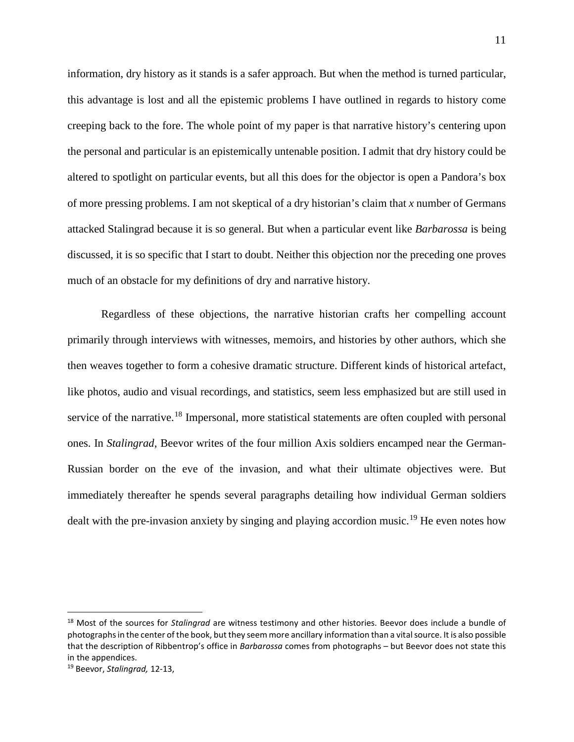information, dry history as it stands is a safer approach. But when the method is turned particular, this advantage is lost and all the epistemic problems I have outlined in regards to history come creeping back to the fore. The whole point of my paper is that narrative history's centering upon the personal and particular is an epistemically untenable position. I admit that dry history could be altered to spotlight on particular events, but all this does for the objector is open a Pandora's box of more pressing problems. I am not skeptical of a dry historian's claim that *x* number of Germans attacked Stalingrad because it is so general. But when a particular event like *Barbarossa* is being discussed, it is so specific that I start to doubt. Neither this objection nor the preceding one proves much of an obstacle for my definitions of dry and narrative history.

Regardless of these objections, the narrative historian crafts her compelling account primarily through interviews with witnesses, memoirs, and histories by other authors, which she then weaves together to form a cohesive dramatic structure. Different kinds of historical artefact, like photos, audio and visual recordings, and statistics, seem less emphasized but are still used in service of the narrative.<sup>[18](#page-11-0)</sup> Impersonal, more statistical statements are often coupled with personal ones. In *Stalingrad,* Beevor writes of the four million Axis soldiers encamped near the German-Russian border on the eve of the invasion, and what their ultimate objectives were. But immediately thereafter he spends several paragraphs detailing how individual German soldiers dealt with the pre-invasion anxiety by singing and playing accordion music.<sup>[19](#page-11-1)</sup> He even notes how

<span id="page-11-0"></span> <sup>18</sup> Most of the sources for *Stalingrad* are witness testimony and other histories. Beevor does include a bundle of photographs in the center of the book, but they seem more ancillary information than a vital source. It is also possible that the description of Ribbentrop's office in *Barbarossa* comes from photographs – but Beevor does not state this in the appendices.

<span id="page-11-1"></span><sup>19</sup> Beevor, *Stalingrad,* 12-13,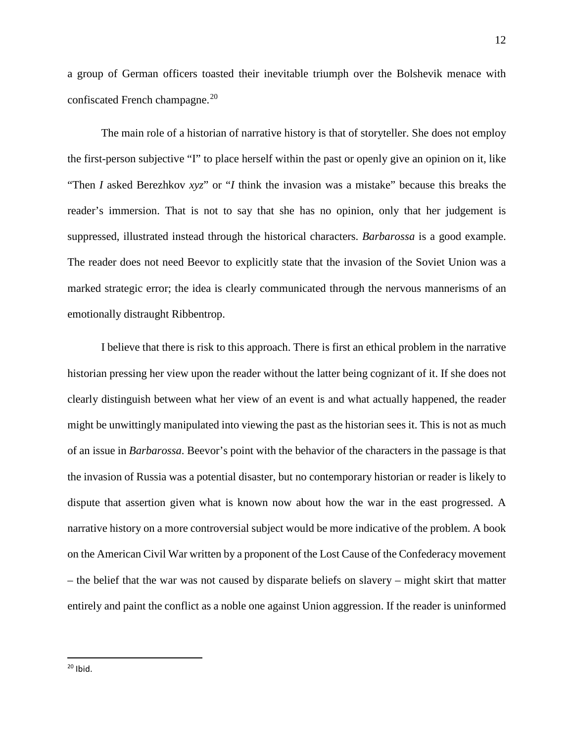a group of German officers toasted their inevitable triumph over the Bolshevik menace with confiscated French champagne.<sup>[20](#page-12-0)</sup>

The main role of a historian of narrative history is that of storyteller. She does not employ the first-person subjective "I" to place herself within the past or openly give an opinion on it, like "Then *I* asked Berezhkov *xyz*" or "*I* think the invasion was a mistake" because this breaks the reader's immersion. That is not to say that she has no opinion, only that her judgement is suppressed, illustrated instead through the historical characters. *Barbarossa* is a good example. The reader does not need Beevor to explicitly state that the invasion of the Soviet Union was a marked strategic error; the idea is clearly communicated through the nervous mannerisms of an emotionally distraught Ribbentrop.

<span id="page-12-0"></span>I believe that there is risk to this approach. There is first an ethical problem in the narrative historian pressing her view upon the reader without the latter being cognizant of it. If she does not clearly distinguish between what her view of an event is and what actually happened, the reader might be unwittingly manipulated into viewing the past as the historian sees it. This is not as much of an issue in *Barbarossa.* Beevor's point with the behavior of the characters in the passage is that the invasion of Russia was a potential disaster, but no contemporary historian or reader is likely to dispute that assertion given what is known now about how the war in the east progressed. A narrative history on a more controversial subject would be more indicative of the problem. A book on the American Civil War written by a proponent of the Lost Cause of the Confederacy movement – the belief that the war was not caused by disparate beliefs on slavery – might skirt that matter entirely and paint the conflict as a noble one against Union aggression. If the reader is uninformed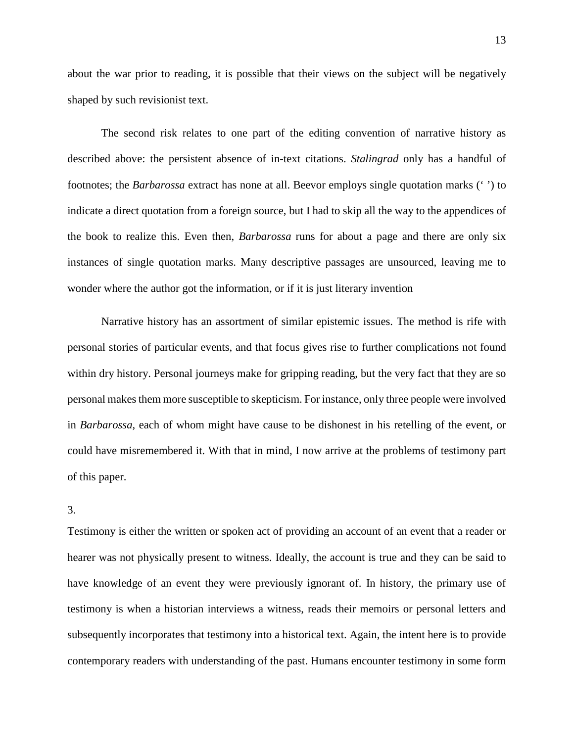about the war prior to reading, it is possible that their views on the subject will be negatively shaped by such revisionist text.

The second risk relates to one part of the editing convention of narrative history as described above: the persistent absence of in-text citations. *Stalingrad* only has a handful of footnotes; the *Barbarossa* extract has none at all. Beevor employs single quotation marks (' ') to indicate a direct quotation from a foreign source, but I had to skip all the way to the appendices of the book to realize this. Even then, *Barbarossa* runs for about a page and there are only six instances of single quotation marks. Many descriptive passages are unsourced, leaving me to wonder where the author got the information, or if it is just literary invention

Narrative history has an assortment of similar epistemic issues. The method is rife with personal stories of particular events, and that focus gives rise to further complications not found within dry history. Personal journeys make for gripping reading, but the very fact that they are so personal makes them more susceptible to skepticism. For instance, only three people were involved in *Barbarossa*, each of whom might have cause to be dishonest in his retelling of the event, or could have misremembered it. With that in mind, I now arrive at the problems of testimony part of this paper.

# 3.

Testimony is either the written or spoken act of providing an account of an event that a reader or hearer was not physically present to witness. Ideally, the account is true and they can be said to have knowledge of an event they were previously ignorant of. In history, the primary use of testimony is when a historian interviews a witness, reads their memoirs or personal letters and subsequently incorporates that testimony into a historical text. Again, the intent here is to provide contemporary readers with understanding of the past. Humans encounter testimony in some form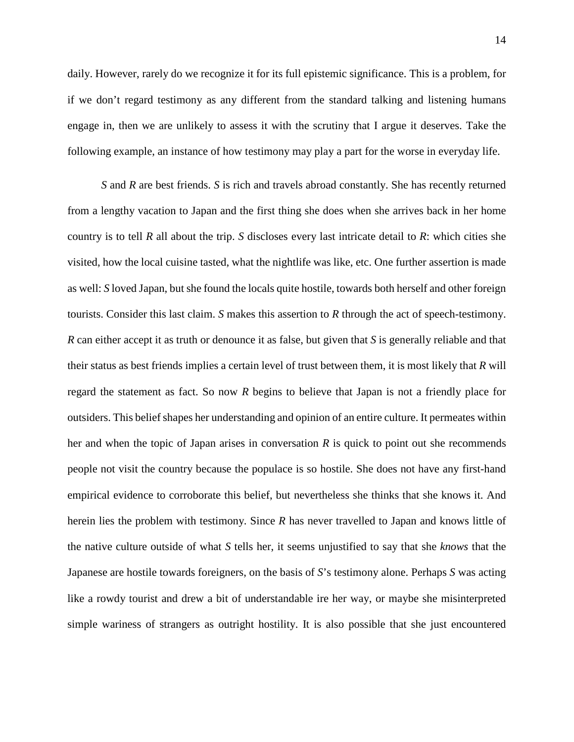daily. However, rarely do we recognize it for its full epistemic significance. This is a problem, for if we don't regard testimony as any different from the standard talking and listening humans engage in, then we are unlikely to assess it with the scrutiny that I argue it deserves. Take the following example, an instance of how testimony may play a part for the worse in everyday life.

*S* and *R* are best friends. *S* is rich and travels abroad constantly. She has recently returned from a lengthy vacation to Japan and the first thing she does when she arrives back in her home country is to tell *R* all about the trip. *S* discloses every last intricate detail to *R*: which cities she visited, how the local cuisine tasted, what the nightlife was like, etc. One further assertion is made as well: *S* loved Japan, but she found the locals quite hostile, towards both herself and other foreign tourists. Consider this last claim. *S* makes this assertion to *R* through the act of speech-testimony. *R* can either accept it as truth or denounce it as false, but given that *S* is generally reliable and that their status as best friends implies a certain level of trust between them, it is most likely that *R* will regard the statement as fact. So now *R* begins to believe that Japan is not a friendly place for outsiders. This belief shapes her understanding and opinion of an entire culture. It permeates within her and when the topic of Japan arises in conversation *R* is quick to point out she recommends people not visit the country because the populace is so hostile. She does not have any first-hand empirical evidence to corroborate this belief, but nevertheless she thinks that she knows it. And herein lies the problem with testimony. Since *R* has never travelled to Japan and knows little of the native culture outside of what *S* tells her, it seems unjustified to say that she *knows* that the Japanese are hostile towards foreigners, on the basis of *S*'s testimony alone. Perhaps *S* was acting like a rowdy tourist and drew a bit of understandable ire her way, or maybe she misinterpreted simple wariness of strangers as outright hostility. It is also possible that she just encountered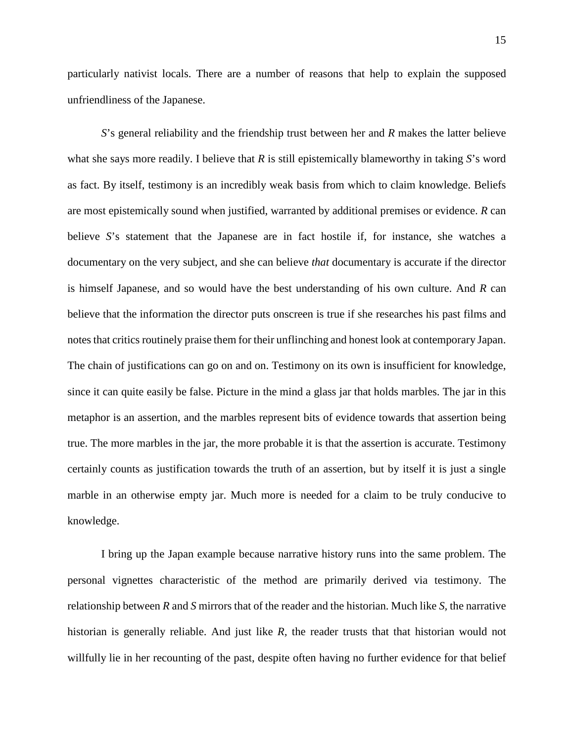particularly nativist locals. There are a number of reasons that help to explain the supposed unfriendliness of the Japanese.

*S*'s general reliability and the friendship trust between her and *R* makes the latter believe what she says more readily. I believe that *R* is still epistemically blameworthy in taking *S*'s word as fact. By itself, testimony is an incredibly weak basis from which to claim knowledge. Beliefs are most epistemically sound when justified, warranted by additional premises or evidence. *R* can believe *S*'s statement that the Japanese are in fact hostile if, for instance, she watches a documentary on the very subject, and she can believe *that* documentary is accurate if the director is himself Japanese, and so would have the best understanding of his own culture. And *R* can believe that the information the director puts onscreen is true if she researches his past films and notes that critics routinely praise them for their unflinching and honest look at contemporary Japan. The chain of justifications can go on and on. Testimony on its own is insufficient for knowledge, since it can quite easily be false. Picture in the mind a glass jar that holds marbles. The jar in this metaphor is an assertion, and the marbles represent bits of evidence towards that assertion being true. The more marbles in the jar, the more probable it is that the assertion is accurate. Testimony certainly counts as justification towards the truth of an assertion, but by itself it is just a single marble in an otherwise empty jar. Much more is needed for a claim to be truly conducive to knowledge.

I bring up the Japan example because narrative history runs into the same problem. The personal vignettes characteristic of the method are primarily derived via testimony. The relationship between *R* and *S* mirrors that of the reader and the historian. Much like *S,* the narrative historian is generally reliable. And just like *R,* the reader trusts that that historian would not willfully lie in her recounting of the past, despite often having no further evidence for that belief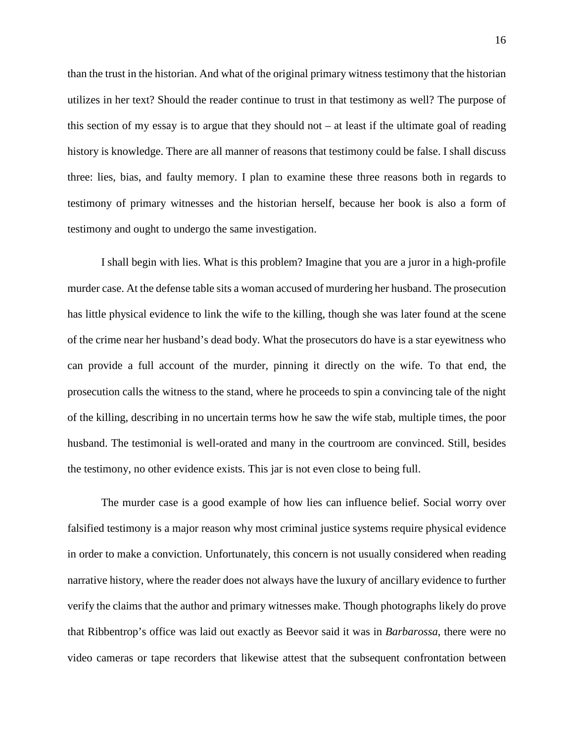than the trust in the historian. And what of the original primary witness testimony that the historian utilizes in her text? Should the reader continue to trust in that testimony as well? The purpose of this section of my essay is to argue that they should not  $-$  at least if the ultimate goal of reading history is knowledge. There are all manner of reasons that testimony could be false. I shall discuss three: lies, bias, and faulty memory. I plan to examine these three reasons both in regards to testimony of primary witnesses and the historian herself, because her book is also a form of testimony and ought to undergo the same investigation.

I shall begin with lies. What is this problem? Imagine that you are a juror in a high-profile murder case. At the defense table sits a woman accused of murdering her husband. The prosecution has little physical evidence to link the wife to the killing, though she was later found at the scene of the crime near her husband's dead body. What the prosecutors do have is a star eyewitness who can provide a full account of the murder, pinning it directly on the wife. To that end, the prosecution calls the witness to the stand, where he proceeds to spin a convincing tale of the night of the killing, describing in no uncertain terms how he saw the wife stab, multiple times, the poor husband. The testimonial is well-orated and many in the courtroom are convinced. Still, besides the testimony, no other evidence exists. This jar is not even close to being full.

The murder case is a good example of how lies can influence belief. Social worry over falsified testimony is a major reason why most criminal justice systems require physical evidence in order to make a conviction. Unfortunately, this concern is not usually considered when reading narrative history, where the reader does not always have the luxury of ancillary evidence to further verify the claims that the author and primary witnesses make. Though photographs likely do prove that Ribbentrop's office was laid out exactly as Beevor said it was in *Barbarossa*, there were no video cameras or tape recorders that likewise attest that the subsequent confrontation between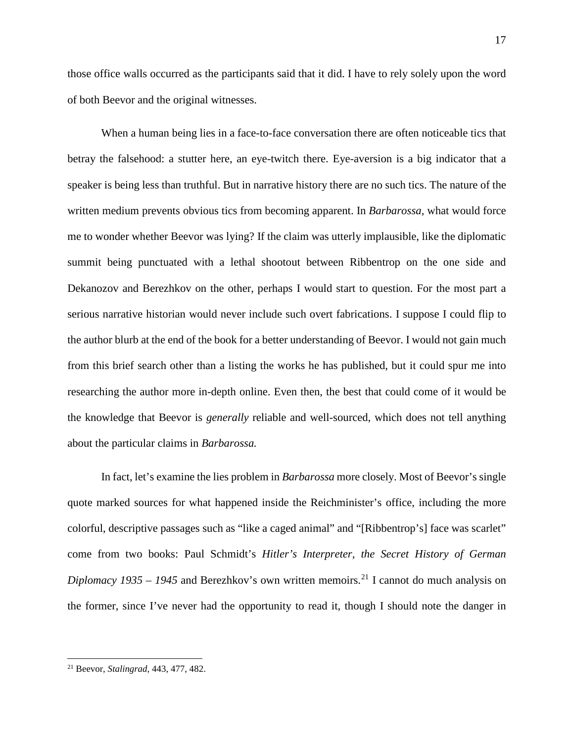those office walls occurred as the participants said that it did. I have to rely solely upon the word of both Beevor and the original witnesses.

When a human being lies in a face-to-face conversation there are often noticeable tics that betray the falsehood: a stutter here, an eye-twitch there. Eye-aversion is a big indicator that a speaker is being less than truthful. But in narrative history there are no such tics. The nature of the written medium prevents obvious tics from becoming apparent. In *Barbarossa,* what would force me to wonder whether Beevor was lying? If the claim was utterly implausible, like the diplomatic summit being punctuated with a lethal shootout between Ribbentrop on the one side and Dekanozov and Berezhkov on the other, perhaps I would start to question. For the most part a serious narrative historian would never include such overt fabrications. I suppose I could flip to the author blurb at the end of the book for a better understanding of Beevor. I would not gain much from this brief search other than a listing the works he has published, but it could spur me into researching the author more in-depth online. Even then, the best that could come of it would be the knowledge that Beevor is *generally* reliable and well-sourced, which does not tell anything about the particular claims in *Barbarossa.*

In fact, let's examine the lies problem in *Barbarossa* more closely. Most of Beevor's single quote marked sources for what happened inside the Reichminister's office, including the more colorful, descriptive passages such as "like a caged animal" and "[Ribbentrop's] face was scarlet" come from two books: Paul Schmidt's *Hitler's Interpreter, the Secret History of German Diplomacy 1935 – 1945* and Berezhkov's own written memoirs.<sup>[21](#page-17-0)</sup> I cannot do much analysis on the former, since I've never had the opportunity to read it, though I should note the danger in

<span id="page-17-0"></span><sup>21</sup> Beevor, *Stalingrad*, 443, 477, 482.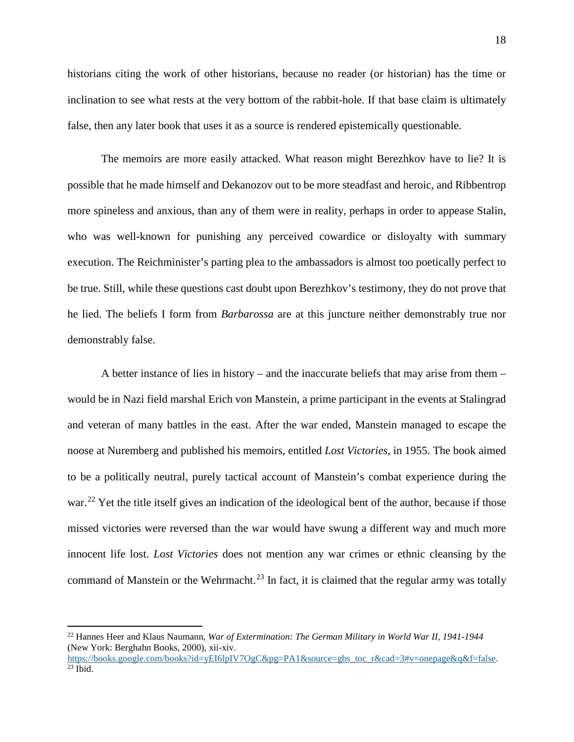historians citing the work of other historians, because no reader (or historian) has the time or inclination to see what rests at the very bottom of the rabbit-hole. If that base claim is ultimately false, then any later book that uses it as a source is rendered epistemically questionable.

The memoirs are more easily attacked. What reason might Berezhkov have to lie? It is possible that he made himself and Dekanozov out to be more steadfast and heroic, and Ribbentrop more spineless and anxious, than any of them were in reality, perhaps in order to appease Stalin, who was well-known for punishing any perceived cowardice or disloyalty with summary execution. The Reichminister's parting plea to the ambassadors is almost too poetically perfect to be true. Still, while these questions cast doubt upon Berezhkov's testimony, they do not prove that he lied. The beliefs I form from *Barbarossa* are at this juncture neither demonstrably true nor demonstrably false.

A better instance of lies in history – and the inaccurate beliefs that may arise from them – would be in Nazi field marshal Erich von Manstein, a prime participant in the events at Stalingrad and veteran of many battles in the east. After the war ended, Manstein managed to escape the noose at Nuremberg and published his memoirs, entitled *Lost Victories,* in 1955. The book aimed to be a politically neutral, purely tactical account of Manstein's combat experience during the war.<sup>[22](#page-18-0)</sup> Yet the title itself gives an indication of the ideological bent of the author, because if those missed victories were reversed than the war would have swung a different way and much more innocent life lost. *Lost Victories* does not mention any war crimes or ethnic cleansing by the command of Manstein or the Wehrmacht.<sup>[23](#page-18-1)</sup> In fact, it is claimed that the regular army was totally

<span id="page-18-0"></span><sup>22</sup> Hannes Heer and Klaus Naumann, *War of Extermination: The German Military in World War II, 1941-1944*  (New York: Berghahn Books, 2000), xii-xiv.

<span id="page-18-1"></span>[https://books.google.com/books?id=yEI6lpIV7OgC&pg=PA1&source=gbs\\_toc\\_r&cad=3#v=onepage&q&f=false.](https://books.google.com/books?id=yEI6lpIV7OgC&pg=PA1&source=gbs_toc_r&cad=3#v=onepage&q&f=false)<br><sup>23</sup> Ibid.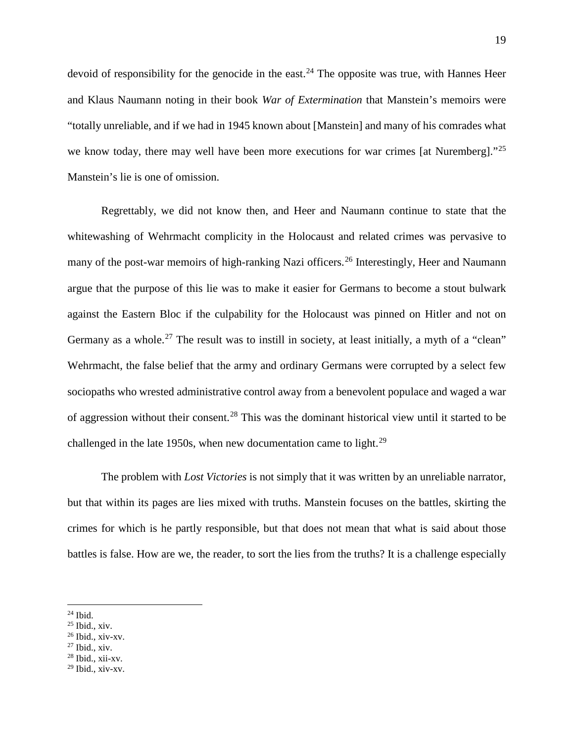devoid of responsibility for the genocide in the east.<sup>[24](#page-19-0)</sup> The opposite was true, with Hannes Heer and Klaus Naumann noting in their book *War of Extermination* that Manstein's memoirs were "totally unreliable, and if we had in 1945 known about [Manstein] and many of his comrades what we know today, there may well have been more executions for war crimes [at Nuremberg]."<sup>[25](#page-19-1)</sup> Manstein's lie is one of omission.

Regrettably, we did not know then, and Heer and Naumann continue to state that the whitewashing of Wehrmacht complicity in the Holocaust and related crimes was pervasive to many of the post-war memoirs of high-ranking Nazi officers.<sup>[26](#page-19-2)</sup> Interestingly, Heer and Naumann argue that the purpose of this lie was to make it easier for Germans to become a stout bulwark against the Eastern Bloc if the culpability for the Holocaust was pinned on Hitler and not on Germany as a whole.<sup>[27](#page-19-3)</sup> The result was to instill in society, at least initially, a myth of a "clean" Wehrmacht, the false belief that the army and ordinary Germans were corrupted by a select few sociopaths who wrested administrative control away from a benevolent populace and waged a war of aggression without their consent.<sup>[28](#page-19-4)</sup> This was the dominant historical view until it started to be challenged in the late 1950s, when new documentation came to light. $29$ 

The problem with *Lost Victories* is not simply that it was written by an unreliable narrator, but that within its pages are lies mixed with truths. Manstein focuses on the battles, skirting the crimes for which is he partly responsible, but that does not mean that what is said about those battles is false. How are we, the reader, to sort the lies from the truths? It is a challenge especially

 $\overline{\phantom{a}}$ 

<span id="page-19-4"></span> $28$  Ibid., xii-xv.

<span id="page-19-0"></span> $24$  Ibid.

<span id="page-19-1"></span><sup>25</sup> Ibid., xiv.

<span id="page-19-2"></span><sup>26</sup> Ibid., xiv-xv.

<span id="page-19-3"></span> $27$  Ibid., xiv.

<span id="page-19-5"></span> $29$  Ibid., xiv-xv.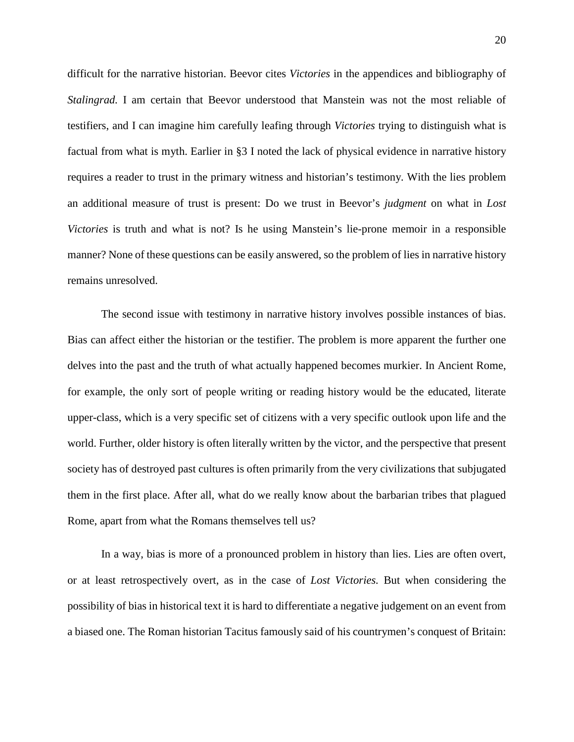difficult for the narrative historian. Beevor cites *Victories* in the appendices and bibliography of *Stalingrad.* I am certain that Beevor understood that Manstein was not the most reliable of testifiers, and I can imagine him carefully leafing through *Victories* trying to distinguish what is factual from what is myth. Earlier in §3 I noted the lack of physical evidence in narrative history requires a reader to trust in the primary witness and historian's testimony. With the lies problem an additional measure of trust is present: Do we trust in Beevor's *judgment* on what in *Lost Victories* is truth and what is not? Is he using Manstein's lie-prone memoir in a responsible manner? None of these questions can be easily answered, so the problem of lies in narrative history remains unresolved.

The second issue with testimony in narrative history involves possible instances of bias. Bias can affect either the historian or the testifier. The problem is more apparent the further one delves into the past and the truth of what actually happened becomes murkier. In Ancient Rome, for example, the only sort of people writing or reading history would be the educated, literate upper-class, which is a very specific set of citizens with a very specific outlook upon life and the world. Further, older history is often literally written by the victor, and the perspective that present society has of destroyed past cultures is often primarily from the very civilizations that subjugated them in the first place. After all, what do we really know about the barbarian tribes that plagued Rome, apart from what the Romans themselves tell us?

In a way, bias is more of a pronounced problem in history than lies. Lies are often overt, or at least retrospectively overt, as in the case of *Lost Victories.* But when considering the possibility of bias in historical text it is hard to differentiate a negative judgement on an event from a biased one. The Roman historian Tacitus famously said of his countrymen's conquest of Britain: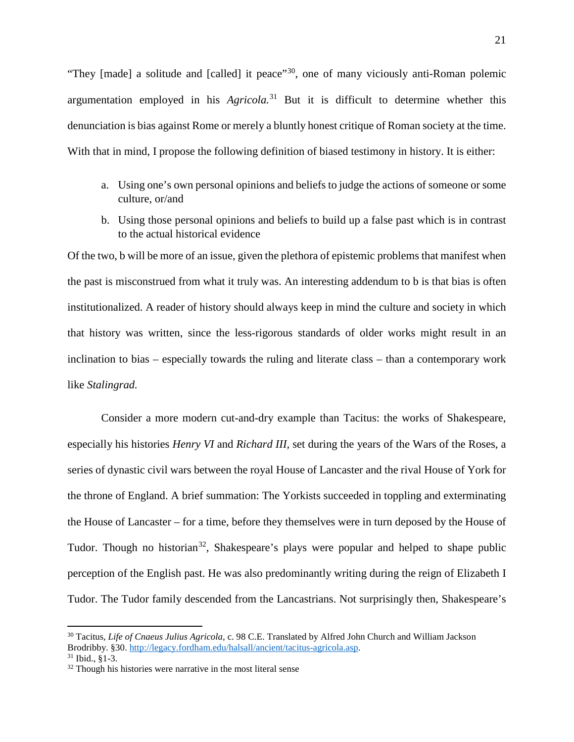"They [made] a solitude and [called] it peace"[30](#page-21-0), one of many viciously anti-Roman polemic argumentation employed in his *Agricola.*[31](#page-21-1) But it is difficult to determine whether this denunciation is bias against Rome or merely a bluntly honest critique of Roman society at the time. With that in mind, I propose the following definition of biased testimony in history. It is either:

- a. Using one's own personal opinions and beliefs to judge the actions of someone or some culture, or/and
- b. Using those personal opinions and beliefs to build up a false past which is in contrast to the actual historical evidence

Of the two, b will be more of an issue, given the plethora of epistemic problems that manifest when the past is misconstrued from what it truly was. An interesting addendum to b is that bias is often institutionalized. A reader of history should always keep in mind the culture and society in which that history was written, since the less-rigorous standards of older works might result in an inclination to bias – especially towards the ruling and literate class – than a contemporary work like *Stalingrad.* 

Consider a more modern cut-and-dry example than Tacitus: the works of Shakespeare, especially his histories *Henry VI* and *Richard III,* set during the years of the Wars of the Roses, a series of dynastic civil wars between the royal House of Lancaster and the rival House of York for the throne of England. A brief summation: The Yorkists succeeded in toppling and exterminating the House of Lancaster – for a time, before they themselves were in turn deposed by the House of Tudor. Though no historian<sup>[32](#page-21-2)</sup>, Shakespeare's plays were popular and helped to shape public perception of the English past. He was also predominantly writing during the reign of Elizabeth I Tudor. The Tudor family descended from the Lancastrians. Not surprisingly then, Shakespeare's

<span id="page-21-0"></span><sup>30</sup> Tacitus, *Life of Cnaeus Julius Agricola,* c. 98 C.E. Translated by Alfred John Church and William Jackson Brodribby. §30. [http://legacy.fordham.edu/halsall/ancient/tacitus-agricola.asp.](http://legacy.fordham.edu/halsall/ancient/tacitus-agricola.asp) <sup>31</sup> Ibid., §1-3.

<span id="page-21-2"></span><span id="page-21-1"></span><sup>&</sup>lt;sup>32</sup> Though his histories were narrative in the most literal sense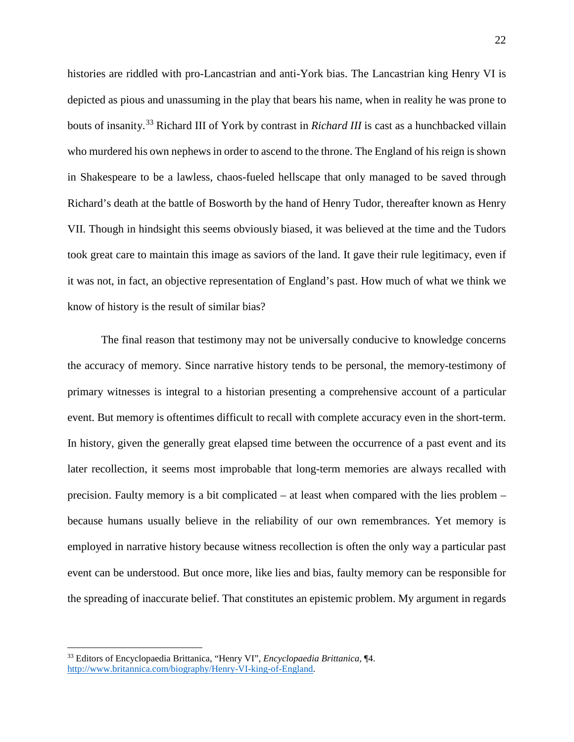histories are riddled with pro-Lancastrian and anti-York bias. The Lancastrian king Henry VI is depicted as pious and unassuming in the play that bears his name, when in reality he was prone to bouts of insanity.[33](#page-22-0) Richard III of York by contrast in *Richard III* is cast as a hunchbacked villain who murdered his own nephews in order to ascend to the throne. The England of his reign is shown in Shakespeare to be a lawless, chaos-fueled hellscape that only managed to be saved through Richard's death at the battle of Bosworth by the hand of Henry Tudor, thereafter known as Henry VII. Though in hindsight this seems obviously biased, it was believed at the time and the Tudors took great care to maintain this image as saviors of the land. It gave their rule legitimacy, even if it was not, in fact, an objective representation of England's past. How much of what we think we know of history is the result of similar bias?

The final reason that testimony may not be universally conducive to knowledge concerns the accuracy of memory. Since narrative history tends to be personal, the memory-testimony of primary witnesses is integral to a historian presenting a comprehensive account of a particular event. But memory is oftentimes difficult to recall with complete accuracy even in the short-term. In history, given the generally great elapsed time between the occurrence of a past event and its later recollection, it seems most improbable that long-term memories are always recalled with precision. Faulty memory is a bit complicated – at least when compared with the lies problem – because humans usually believe in the reliability of our own remembrances. Yet memory is employed in narrative history because witness recollection is often the only way a particular past event can be understood. But once more, like lies and bias, faulty memory can be responsible for the spreading of inaccurate belief. That constitutes an epistemic problem. My argument in regards

<span id="page-22-0"></span><sup>33</sup> Editors of Encyclopaedia Brittanica, "Henry VI", *Encyclopaedia Brittanica,* ¶4. [http://www.britannica.com/biography/Henry-VI-king-of-England.](http://www.britannica.com/biography/Henry-VI-king-of-England)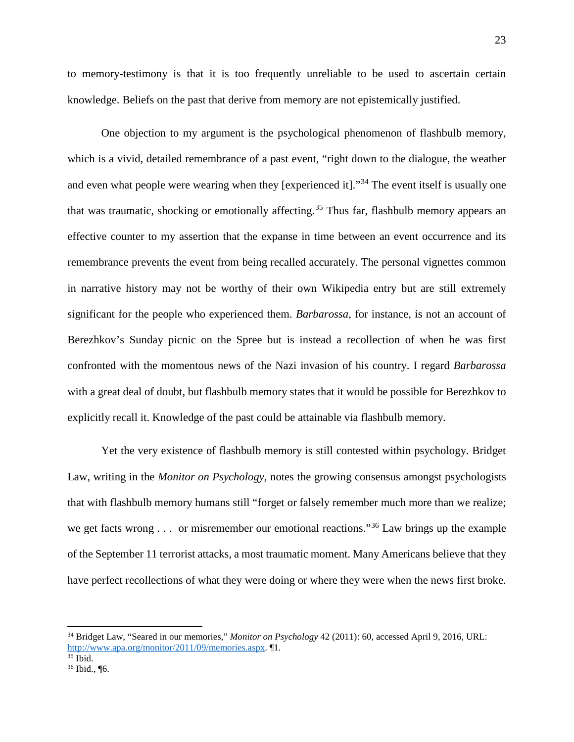to memory-testimony is that it is too frequently unreliable to be used to ascertain certain knowledge. Beliefs on the past that derive from memory are not epistemically justified.

One objection to my argument is the psychological phenomenon of flashbulb memory, which is a vivid, detailed remembrance of a past event, "right down to the dialogue, the weather and even what people were wearing when they [experienced it]."<sup>[34](#page-23-0)</sup> The event itself is usually one that was traumatic, shocking or emotionally affecting.<sup>[35](#page-23-1)</sup> Thus far, flashbulb memory appears an effective counter to my assertion that the expanse in time between an event occurrence and its remembrance prevents the event from being recalled accurately. The personal vignettes common in narrative history may not be worthy of their own Wikipedia entry but are still extremely significant for the people who experienced them. *Barbarossa*, for instance, is not an account of Berezhkov's Sunday picnic on the Spree but is instead a recollection of when he was first confronted with the momentous news of the Nazi invasion of his country. I regard *Barbarossa*  with a great deal of doubt, but flashbulb memory states that it would be possible for Berezhkov to explicitly recall it. Knowledge of the past could be attainable via flashbulb memory.

Yet the very existence of flashbulb memory is still contested within psychology. Bridget Law, writing in the *Monitor on Psychology,* notes the growing consensus amongst psychologists that with flashbulb memory humans still "forget or falsely remember much more than we realize; we get facts wrong  $\ldots$  or misremember our emotional reactions."<sup>[36](#page-23-2)</sup> Law brings up the example of the September 11 terrorist attacks, a most traumatic moment. Many Americans believe that they have perfect recollections of what they were doing or where they were when the news first broke.

<span id="page-23-0"></span><sup>34</sup> Bridget Law, "Seared in our memories," *Monitor on Psychology* 42 (2011): 60, accessed April 9, 2016, URL: [http://www.apa.org/monitor/2011/09/memories.aspx.](http://www.apa.org/monitor/2011/09/memories.aspx) ¶1.

<span id="page-23-1"></span> $35$  Ibid.

<span id="page-23-2"></span><sup>36</sup> Ibid., ¶6.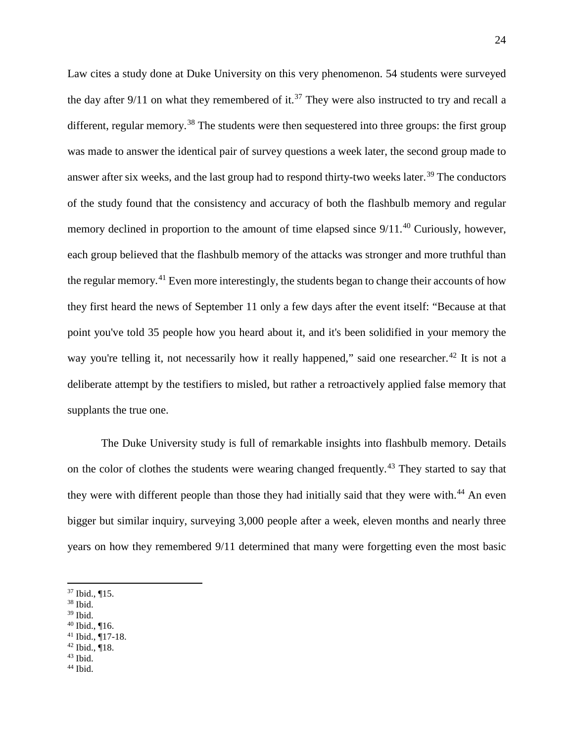Law cites a study done at Duke University on this very phenomenon. 54 students were surveyed the day after  $9/11$  on what they remembered of it.<sup>[37](#page-24-0)</sup> They were also instructed to try and recall a different, regular memory.<sup>[38](#page-24-1)</sup> The students were then sequestered into three groups: the first group was made to answer the identical pair of survey questions a week later, the second group made to answer after six weeks, and the last group had to respond thirty-two weeks later.<sup>[39](#page-24-2)</sup> The conductors of the study found that the consistency and accuracy of both the flashbulb memory and regular memory declined in proportion to the amount of time elapsed since 9/11.<sup>[40](#page-24-3)</sup> Curiously, however, each group believed that the flashbulb memory of the attacks was stronger and more truthful than the regular memory.<sup>[41](#page-24-4)</sup> Even more interestingly, the students began to change their accounts of how they first heard the news of September 11 only a few days after the event itself: "Because at that point you've told 35 people how you heard about it, and it's been solidified in your memory the way you're telling it, not necessarily how it really happened," said one researcher.<sup>[42](#page-24-5)</sup> It is not a deliberate attempt by the testifiers to misled, but rather a retroactively applied false memory that supplants the true one.

The Duke University study is full of remarkable insights into flashbulb memory. Details on the color of clothes the students were wearing changed frequently.<sup>[43](#page-24-6)</sup> They started to say that they were with different people than those they had initially said that they were with.<sup>[44](#page-24-7)</sup> An even bigger but similar inquiry, surveying 3,000 people after a week, eleven months and nearly three years on how they remembered 9/11 determined that many were forgetting even the most basic

<span id="page-24-1"></span><sup>38</sup> Ibid.

- <span id="page-24-2"></span><sup>39</sup> Ibid.
- <span id="page-24-3"></span> $40$  Ibid., ¶16.
- <span id="page-24-4"></span> $41$  Ibid.,  $\P$ 17-18. <sup>42</sup> Ibid., ¶18.
- <span id="page-24-5"></span> $43$  Ibid.
- <span id="page-24-7"></span><span id="page-24-6"></span><sup>44</sup> Ibid.

<span id="page-24-0"></span><sup>37</sup> Ibid., ¶15.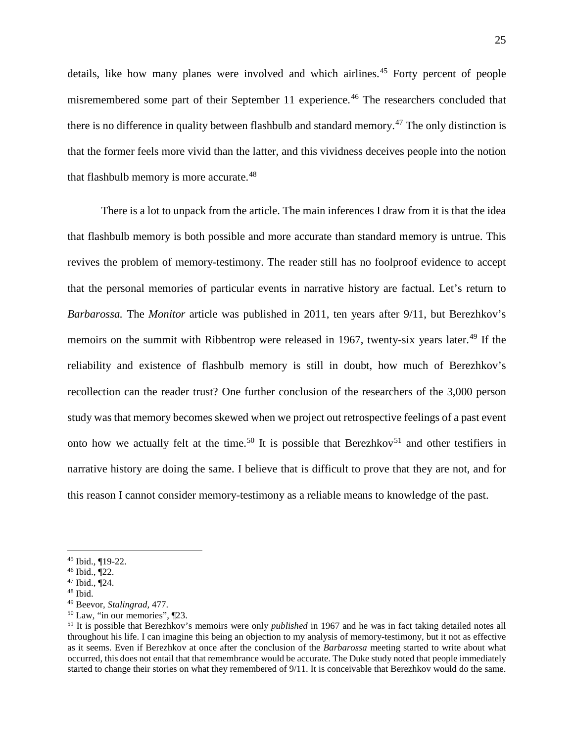details, like how many planes were involved and which airlines.<sup>[45](#page-25-0)</sup> Forty percent of people misremembered some part of their September 11 experience.<sup>[46](#page-25-1)</sup> The researchers concluded that there is no difference in quality between flashbulb and standard memory.<sup>[47](#page-25-2)</sup> The only distinction is that the former feels more vivid than the latter, and this vividness deceives people into the notion that flashbulb memory is more accurate.<sup>[48](#page-25-3)</sup>

There is a lot to unpack from the article. The main inferences I draw from it is that the idea that flashbulb memory is both possible and more accurate than standard memory is untrue. This revives the problem of memory-testimony. The reader still has no foolproof evidence to accept that the personal memories of particular events in narrative history are factual. Let's return to *Barbarossa.* The *Monitor* article was published in 2011, ten years after 9/11, but Berezhkov's memoirs on the summit with Ribbentrop were released in 1967, twenty-six years later.<sup>[49](#page-25-4)</sup> If the reliability and existence of flashbulb memory is still in doubt, how much of Berezhkov's recollection can the reader trust? One further conclusion of the researchers of the 3,000 person study was that memory becomes skewed when we project out retrospective feelings of a past event onto how we actually felt at the time.<sup>[50](#page-25-5)</sup> It is possible that Berezhkov<sup>[51](#page-25-6)</sup> and other testifiers in narrative history are doing the same. I believe that is difficult to prove that they are not, and for this reason I cannot consider memory-testimony as a reliable means to knowledge of the past.

<span id="page-25-0"></span><sup>45</sup> Ibid., ¶19-22.

<span id="page-25-1"></span> $46$  Ibid.,  $\P$ 22.

<span id="page-25-2"></span><sup>47</sup> Ibid., ¶24.

<span id="page-25-3"></span><sup>48</sup> Ibid.

<span id="page-25-4"></span><sup>49</sup> Beevor, *Stalingrad,* 477.

<span id="page-25-5"></span><sup>50</sup> Law, "in our memories", ¶23.

<span id="page-25-6"></span><sup>51</sup> It is possible that Berezhkov's memoirs were only *published* in 1967 and he was in fact taking detailed notes all throughout his life. I can imagine this being an objection to my analysis of memory-testimony, but it not as effective as it seems. Even if Berezhkov at once after the conclusion of the *Barbarossa* meeting started to write about what occurred, this does not entail that that remembrance would be accurate. The Duke study noted that people immediately started to change their stories on what they remembered of 9/11. It is conceivable that Berezhkov would do the same.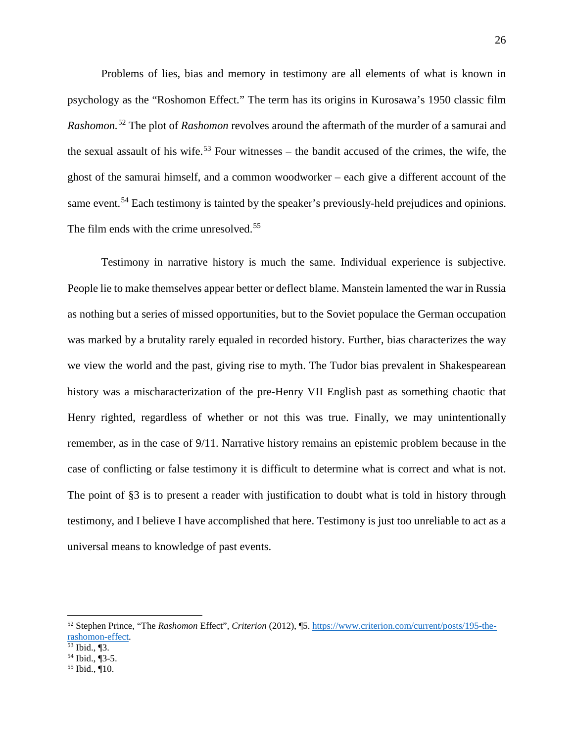Problems of lies, bias and memory in testimony are all elements of what is known in psychology as the "Roshomon Effect." The term has its origins in Kurosawa's 1950 classic film *Rashomon.*[52](#page-26-0) The plot of *Rashomon* revolves around the aftermath of the murder of a samurai and the sexual assault of his wife.<sup>[53](#page-26-1)</sup> Four witnesses – the bandit accused of the crimes, the wife, the ghost of the samurai himself, and a common woodworker – each give a different account of the same event.<sup>[54](#page-26-2)</sup> Each testimony is tainted by the speaker's previously-held prejudices and opinions. The film ends with the crime unresolved.<sup>[55](#page-26-3)</sup>

Testimony in narrative history is much the same. Individual experience is subjective. People lie to make themselves appear better or deflect blame. Manstein lamented the war in Russia as nothing but a series of missed opportunities, but to the Soviet populace the German occupation was marked by a brutality rarely equaled in recorded history. Further, bias characterizes the way we view the world and the past, giving rise to myth. The Tudor bias prevalent in Shakespearean history was a mischaracterization of the pre-Henry VII English past as something chaotic that Henry righted, regardless of whether or not this was true. Finally, we may unintentionally remember, as in the case of 9/11. Narrative history remains an epistemic problem because in the case of conflicting or false testimony it is difficult to determine what is correct and what is not. The point of §3 is to present a reader with justification to doubt what is told in history through testimony, and I believe I have accomplished that here. Testimony is just too unreliable to act as a universal means to knowledge of past events.

<span id="page-26-0"></span><sup>52</sup> Stephen Prince, "The *Rashomon* Effect", *Criterion* (2012), ¶5. [https://www.criterion.com/current/posts/195-the](https://www.criterion.com/current/posts/195-the-rashomon-effect)rashomon-effect.<br><sup>53</sup> Ibid., ¶3.

<span id="page-26-1"></span>

<span id="page-26-2"></span> $54$  Ibid.,  $\sqrt{3}$ -5.

<span id="page-26-3"></span><sup>55</sup> Ibid., ¶10.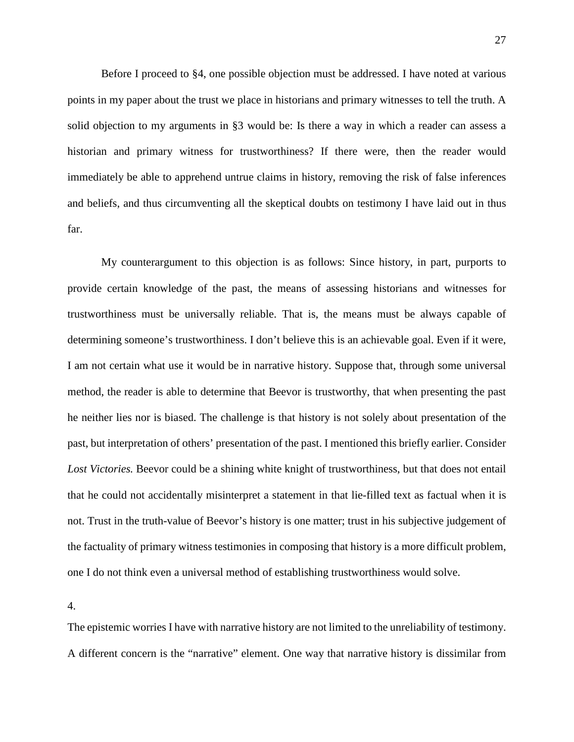Before I proceed to §4, one possible objection must be addressed. I have noted at various points in my paper about the trust we place in historians and primary witnesses to tell the truth. A solid objection to my arguments in §3 would be: Is there a way in which a reader can assess a historian and primary witness for trustworthiness? If there were, then the reader would immediately be able to apprehend untrue claims in history, removing the risk of false inferences and beliefs, and thus circumventing all the skeptical doubts on testimony I have laid out in thus far.

My counterargument to this objection is as follows: Since history, in part, purports to provide certain knowledge of the past, the means of assessing historians and witnesses for trustworthiness must be universally reliable. That is, the means must be always capable of determining someone's trustworthiness. I don't believe this is an achievable goal. Even if it were, I am not certain what use it would be in narrative history. Suppose that, through some universal method, the reader is able to determine that Beevor is trustworthy, that when presenting the past he neither lies nor is biased. The challenge is that history is not solely about presentation of the past, but interpretation of others' presentation of the past. I mentioned this briefly earlier. Consider Lost Victories. Beevor could be a shining white knight of trustworthiness, but that does not entail that he could not accidentally misinterpret a statement in that lie-filled text as factual when it is not. Trust in the truth-value of Beevor's history is one matter; trust in his subjective judgement of the factuality of primary witness testimonies in composing that history is a more difficult problem, one I do not think even a universal method of establishing trustworthiness would solve.

4.

The epistemic worries I have with narrative history are not limited to the unreliability of testimony. A different concern is the "narrative" element. One way that narrative history is dissimilar from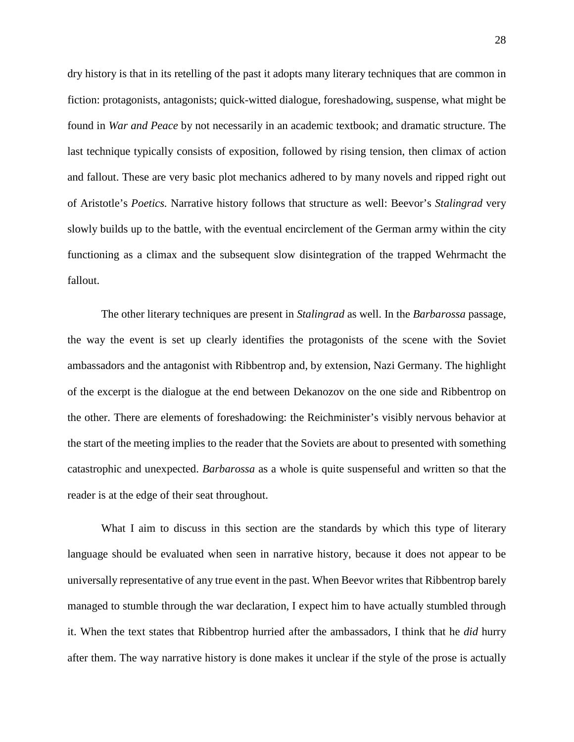dry history is that in its retelling of the past it adopts many literary techniques that are common in fiction: protagonists, antagonists; quick-witted dialogue, foreshadowing, suspense, what might be found in *War and Peace* by not necessarily in an academic textbook; and dramatic structure. The last technique typically consists of exposition, followed by rising tension, then climax of action and fallout. These are very basic plot mechanics adhered to by many novels and ripped right out of Aristotle's *Poetics.* Narrative history follows that structure as well: Beevor's *Stalingrad* very slowly builds up to the battle, with the eventual encirclement of the German army within the city functioning as a climax and the subsequent slow disintegration of the trapped Wehrmacht the fallout.

The other literary techniques are present in *Stalingrad* as well. In the *Barbarossa* passage, the way the event is set up clearly identifies the protagonists of the scene with the Soviet ambassadors and the antagonist with Ribbentrop and, by extension, Nazi Germany. The highlight of the excerpt is the dialogue at the end between Dekanozov on the one side and Ribbentrop on the other. There are elements of foreshadowing: the Reichminister's visibly nervous behavior at the start of the meeting implies to the reader that the Soviets are about to presented with something catastrophic and unexpected. *Barbarossa* as a whole is quite suspenseful and written so that the reader is at the edge of their seat throughout.

What I aim to discuss in this section are the standards by which this type of literary language should be evaluated when seen in narrative history, because it does not appear to be universally representative of any true event in the past. When Beevor writes that Ribbentrop barely managed to stumble through the war declaration, I expect him to have actually stumbled through it. When the text states that Ribbentrop hurried after the ambassadors, I think that he *did* hurry after them. The way narrative history is done makes it unclear if the style of the prose is actually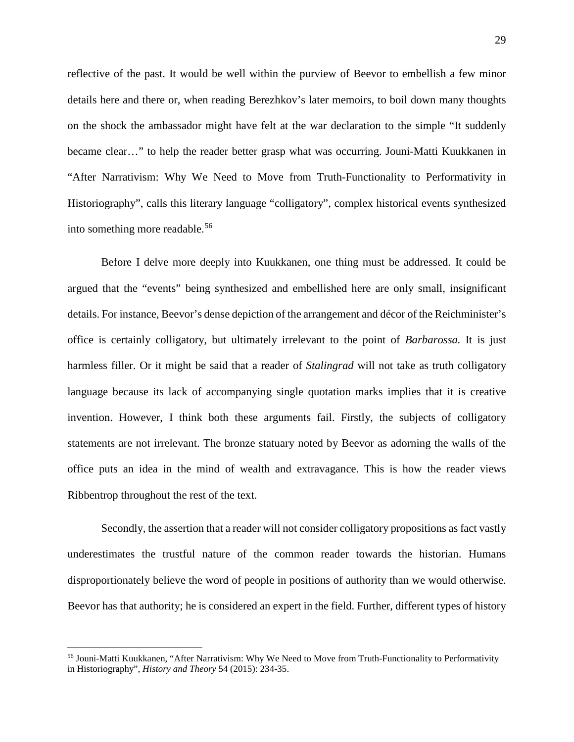reflective of the past. It would be well within the purview of Beevor to embellish a few minor details here and there or, when reading Berezhkov's later memoirs, to boil down many thoughts on the shock the ambassador might have felt at the war declaration to the simple "It suddenly became clear…" to help the reader better grasp what was occurring. Jouni-Matti Kuukkanen in "After Narrativism: Why We Need to Move from Truth-Functionality to Performativity in Historiography", calls this literary language "colligatory", complex historical events synthesized into something more readable. [56](#page-29-0)

Before I delve more deeply into Kuukkanen, one thing must be addressed. It could be argued that the "events" being synthesized and embellished here are only small, insignificant details. For instance, Beevor's dense depiction of the arrangement and décor of the Reichminister's office is certainly colligatory, but ultimately irrelevant to the point of *Barbarossa.* It is just harmless filler. Or it might be said that a reader of *Stalingrad* will not take as truth colligatory language because its lack of accompanying single quotation marks implies that it is creative invention. However, I think both these arguments fail. Firstly, the subjects of colligatory statements are not irrelevant. The bronze statuary noted by Beevor as adorning the walls of the office puts an idea in the mind of wealth and extravagance. This is how the reader views Ribbentrop throughout the rest of the text.

Secondly, the assertion that a reader will not consider colligatory propositions as fact vastly underestimates the trustful nature of the common reader towards the historian. Humans disproportionately believe the word of people in positions of authority than we would otherwise. Beevor has that authority; he is considered an expert in the field. Further, different types of history

<span id="page-29-0"></span><sup>56</sup> Jouni-Matti Kuukkanen, "After Narrativism: Why We Need to Move from Truth-Functionality to Performativity in Historiography", *History and Theory* 54 (2015): 234-35.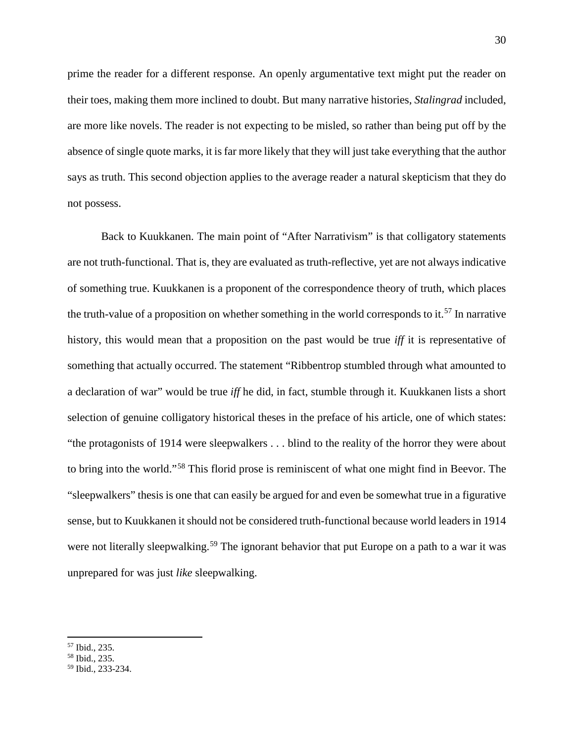prime the reader for a different response. An openly argumentative text might put the reader on their toes, making them more inclined to doubt. But many narrative histories, *Stalingrad* included, are more like novels. The reader is not expecting to be misled, so rather than being put off by the absence of single quote marks, it is far more likely that they will just take everything that the author says as truth. This second objection applies to the average reader a natural skepticism that they do not possess.

Back to Kuukkanen. The main point of "After Narrativism" is that colligatory statements are not truth-functional. That is, they are evaluated as truth-reflective, yet are not always indicative of something true. Kuukkanen is a proponent of the correspondence theory of truth, which places the truth-value of a proposition on whether something in the world corresponds to it.<sup>[57](#page-30-0)</sup> In narrative history, this would mean that a proposition on the past would be true *iff* it is representative of something that actually occurred. The statement "Ribbentrop stumbled through what amounted to a declaration of war" would be true *iff* he did, in fact, stumble through it. Kuukkanen lists a short selection of genuine colligatory historical theses in the preface of his article, one of which states: "the protagonists of 1914 were sleepwalkers . . . blind to the reality of the horror they were about to bring into the world."[58](#page-30-1) This florid prose is reminiscent of what one might find in Beevor. The "sleepwalkers" thesis is one that can easily be argued for and even be somewhat true in a figurative sense, but to Kuukkanen it should not be considered truth-functional because world leaders in 1914 were not literally sleepwalking.<sup>[59](#page-30-2)</sup> The ignorant behavior that put Europe on a path to a war it was unprepared for was just *like* sleepwalking.

<span id="page-30-0"></span><sup>57</sup> Ibid., 235.

<span id="page-30-1"></span><sup>58</sup> Ibid., 235.

<span id="page-30-2"></span><sup>59</sup> Ibid., 233-234.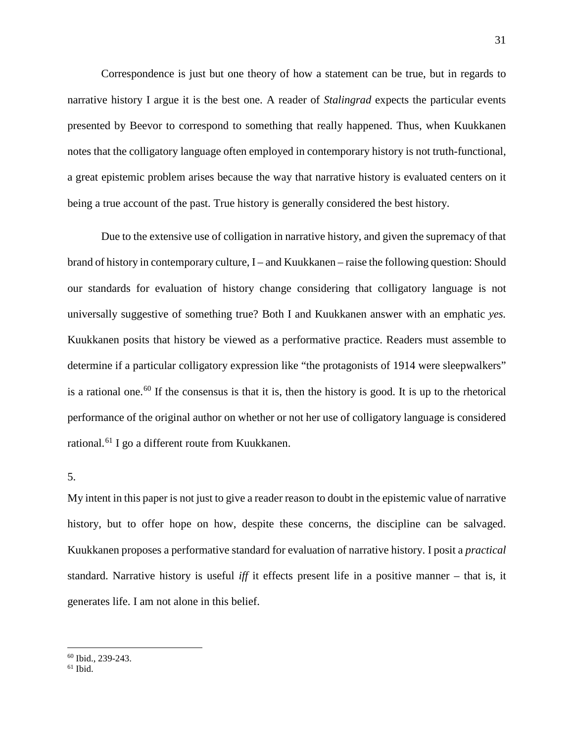Correspondence is just but one theory of how a statement can be true, but in regards to narrative history I argue it is the best one. A reader of *Stalingrad* expects the particular events presented by Beevor to correspond to something that really happened. Thus, when Kuukkanen notes that the colligatory language often employed in contemporary history is not truth-functional, a great epistemic problem arises because the way that narrative history is evaluated centers on it being a true account of the past. True history is generally considered the best history.

Due to the extensive use of colligation in narrative history, and given the supremacy of that brand of history in contemporary culture, I – and Kuukkanen – raise the following question: Should our standards for evaluation of history change considering that colligatory language is not universally suggestive of something true? Both I and Kuukkanen answer with an emphatic *yes.* Kuukkanen posits that history be viewed as a performative practice. Readers must assemble to determine if a particular colligatory expression like "the protagonists of 1914 were sleepwalkers" is a rational one.<sup>[60](#page-31-0)</sup> If the consensus is that it is, then the history is good. It is up to the rhetorical performance of the original author on whether or not her use of colligatory language is considered rational.<sup>[61](#page-31-1)</sup> I go a different route from Kuukkanen.

#### 5.

My intent in this paper is not just to give a reader reason to doubt in the epistemic value of narrative history, but to offer hope on how, despite these concerns, the discipline can be salvaged. Kuukkanen proposes a performative standard for evaluation of narrative history. I posit a *practical*  standard. Narrative history is useful *iff* it effects present life in a positive manner – that is, it generates life. I am not alone in this belief.

<sup>60</sup> Ibid., 239-243.

<span id="page-31-1"></span><span id="page-31-0"></span> $61$  Ibid.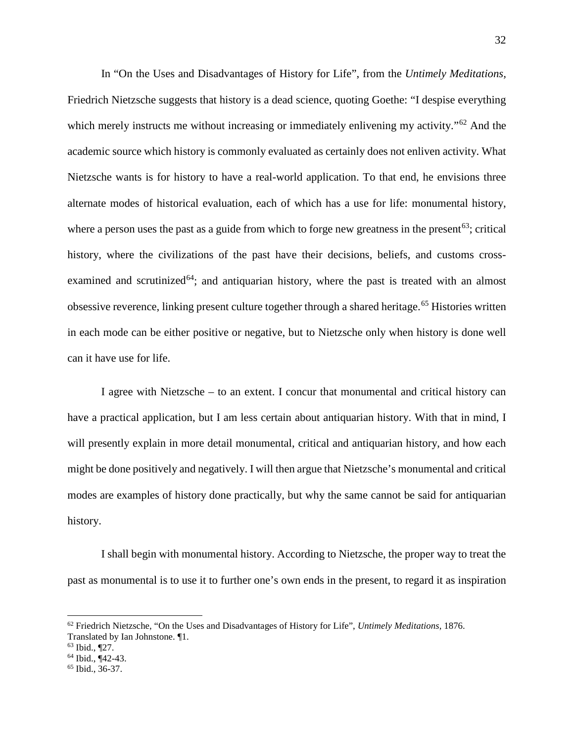In "On the Uses and Disadvantages of History for Life", from the *Untimely Meditations,*  Friedrich Nietzsche suggests that history is a dead science, quoting Goethe: "I despise everything which merely instructs me without increasing or immediately enlivening my activity.<sup>"[62](#page-32-0)</sup> And the academic source which history is commonly evaluated as certainly does not enliven activity. What Nietzsche wants is for history to have a real-world application. To that end, he envisions three alternate modes of historical evaluation, each of which has a use for life: monumental history, where a person uses the past as a guide from which to forge new greatness in the present<sup>63</sup>; critical history, where the civilizations of the past have their decisions, beliefs, and customs cross-examined and scrutinized<sup>[64](#page-32-2)</sup>; and antiquarian history, where the past is treated with an almost obsessive reverence, linking present culture together through a shared heritage.<sup>[65](#page-32-3)</sup> Histories written in each mode can be either positive or negative, but to Nietzsche only when history is done well can it have use for life.

I agree with Nietzsche – to an extent. I concur that monumental and critical history can have a practical application, but I am less certain about antiquarian history. With that in mind, I will presently explain in more detail monumental, critical and antiquarian history, and how each might be done positively and negatively. I will then argue that Nietzsche's monumental and critical modes are examples of history done practically, but why the same cannot be said for antiquarian history.

I shall begin with monumental history. According to Nietzsche, the proper way to treat the past as monumental is to use it to further one's own ends in the present, to regard it as inspiration

<span id="page-32-0"></span><sup>62</sup> Friedrich Nietzsche, "On the Uses and Disadvantages of History for Life", *Untimely Meditations,* 1876. Translated by Ian Johnstone. ¶1.

<sup>63</sup> Ibid., ¶27.

<span id="page-32-2"></span><span id="page-32-1"></span><sup>64</sup> Ibid., ¶42-43.

<span id="page-32-3"></span><sup>65</sup> Ibid., 36-37.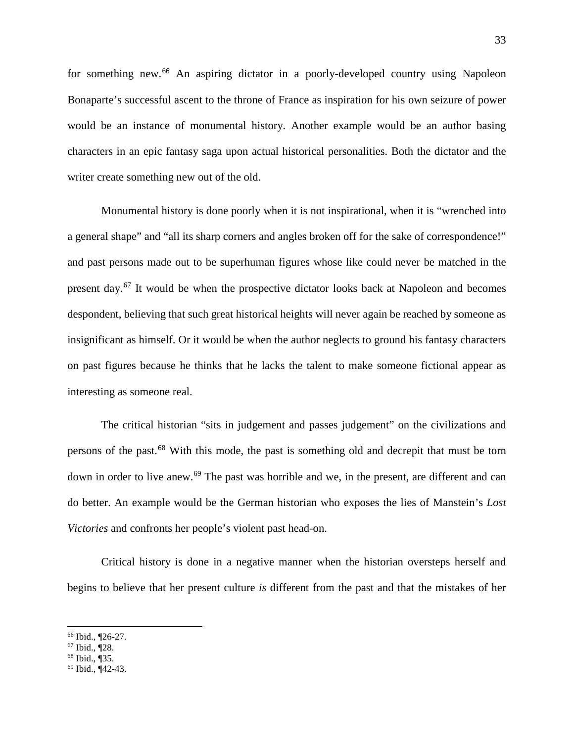for something new. [66](#page-33-0) An aspiring dictator in a poorly-developed country using Napoleon Bonaparte's successful ascent to the throne of France as inspiration for his own seizure of power would be an instance of monumental history. Another example would be an author basing characters in an epic fantasy saga upon actual historical personalities. Both the dictator and the writer create something new out of the old.

Monumental history is done poorly when it is not inspirational, when it is "wrenched into a general shape" and "all its sharp corners and angles broken off for the sake of correspondence!" and past persons made out to be superhuman figures whose like could never be matched in the present day.[67](#page-33-1) It would be when the prospective dictator looks back at Napoleon and becomes despondent, believing that such great historical heights will never again be reached by someone as insignificant as himself. Or it would be when the author neglects to ground his fantasy characters on past figures because he thinks that he lacks the talent to make someone fictional appear as interesting as someone real.

The critical historian "sits in judgement and passes judgement" on the civilizations and persons of the past.[68](#page-33-2) With this mode, the past is something old and decrepit that must be torn down in order to live anew.<sup>[69](#page-33-3)</sup> The past was horrible and we, in the present, are different and can do better. An example would be the German historian who exposes the lies of Manstein's *Lost Victories* and confronts her people's violent past head-on.

Critical history is done in a negative manner when the historian oversteps herself and begins to believe that her present culture *is* different from the past and that the mistakes of her

l

<span id="page-33-2"></span> $68$  Ibid.,  $\overline{9}35$ .

<span id="page-33-0"></span><sup>66</sup> Ibid., ¶26-27.

<span id="page-33-1"></span> $67$  Ibid.,  $\P$ 28.

<span id="page-33-3"></span><sup>69</sup> Ibid., ¶42-43.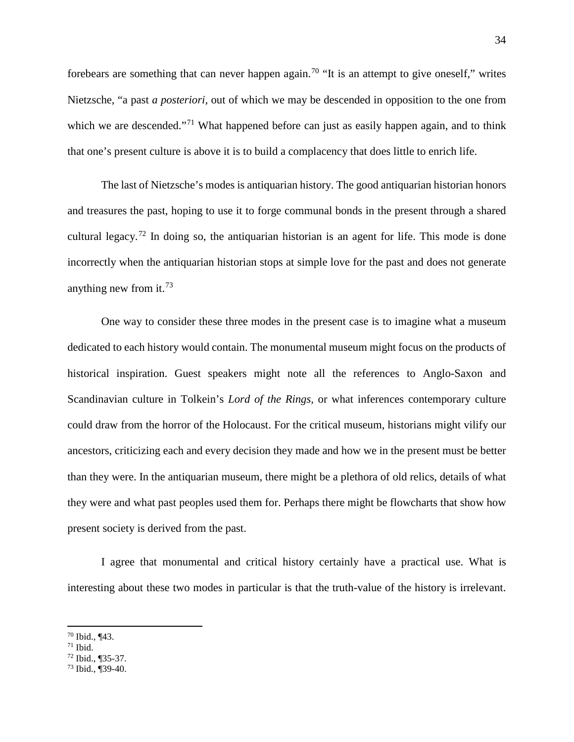forebears are something that can never happen again.<sup>[70](#page-34-0)</sup> "It is an attempt to give oneself," writes Nietzsche, "a past *a posteriori,* out of which we may be descended in opposition to the one from which we are descended."<sup>[71](#page-34-1)</sup> What happened before can just as easily happen again, and to think that one's present culture is above it is to build a complacency that does little to enrich life.

The last of Nietzsche's modes is antiquarian history. The good antiquarian historian honors and treasures the past, hoping to use it to forge communal bonds in the present through a shared cultural legacy.<sup>[72](#page-34-2)</sup> In doing so, the antiquarian historian is an agent for life. This mode is done incorrectly when the antiquarian historian stops at simple love for the past and does not generate anything new from it.<sup>[73](#page-34-3)</sup>

One way to consider these three modes in the present case is to imagine what a museum dedicated to each history would contain. The monumental museum might focus on the products of historical inspiration. Guest speakers might note all the references to Anglo-Saxon and Scandinavian culture in Tolkein's *Lord of the Rings,* or what inferences contemporary culture could draw from the horror of the Holocaust. For the critical museum, historians might vilify our ancestors, criticizing each and every decision they made and how we in the present must be better than they were. In the antiquarian museum, there might be a plethora of old relics, details of what they were and what past peoples used them for. Perhaps there might be flowcharts that show how present society is derived from the past.

I agree that monumental and critical history certainly have a practical use. What is interesting about these two modes in particular is that the truth-value of the history is irrelevant.

<span id="page-34-0"></span><sup>70</sup> Ibid., ¶43.

<span id="page-34-1"></span> $71$  Ibid.

<span id="page-34-2"></span> $72$  Ibid., ¶35-37.

<span id="page-34-3"></span><sup>73</sup> Ibid., ¶39-40.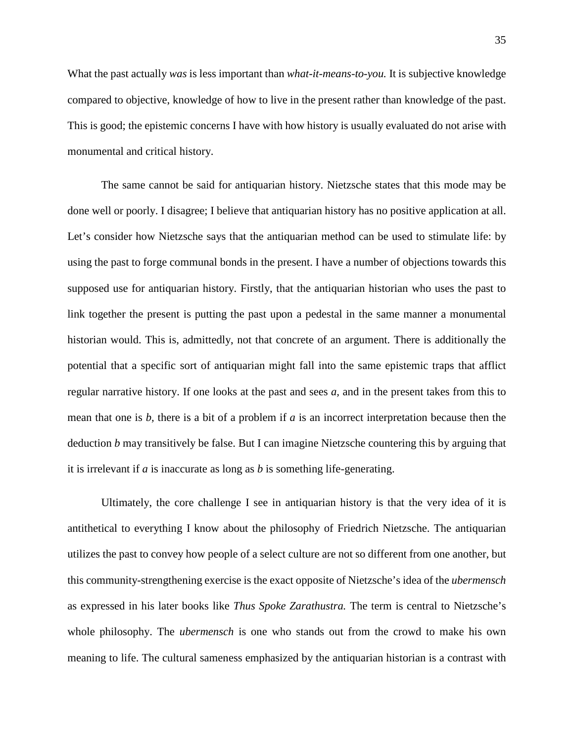What the past actually *was* is less important than *what-it-means-to-you.* It is subjective knowledge compared to objective, knowledge of how to live in the present rather than knowledge of the past. This is good; the epistemic concerns I have with how history is usually evaluated do not arise with monumental and critical history.

The same cannot be said for antiquarian history. Nietzsche states that this mode may be done well or poorly. I disagree; I believe that antiquarian history has no positive application at all. Let's consider how Nietzsche says that the antiquarian method can be used to stimulate life: by using the past to forge communal bonds in the present. I have a number of objections towards this supposed use for antiquarian history. Firstly, that the antiquarian historian who uses the past to link together the present is putting the past upon a pedestal in the same manner a monumental historian would. This is, admittedly, not that concrete of an argument. There is additionally the potential that a specific sort of antiquarian might fall into the same epistemic traps that afflict regular narrative history. If one looks at the past and sees *a,* and in the present takes from this to mean that one is *b,* there is a bit of a problem if *a* is an incorrect interpretation because then the deduction *b* may transitively be false. But I can imagine Nietzsche countering this by arguing that it is irrelevant if *a* is inaccurate as long as *b* is something life-generating.

Ultimately, the core challenge I see in antiquarian history is that the very idea of it is antithetical to everything I know about the philosophy of Friedrich Nietzsche. The antiquarian utilizes the past to convey how people of a select culture are not so different from one another, but this community-strengthening exercise is the exact opposite of Nietzsche's idea of the *ubermensch*  as expressed in his later books like *Thus Spoke Zarathustra.* The term is central to Nietzsche's whole philosophy. The *ubermensch* is one who stands out from the crowd to make his own meaning to life. The cultural sameness emphasized by the antiquarian historian is a contrast with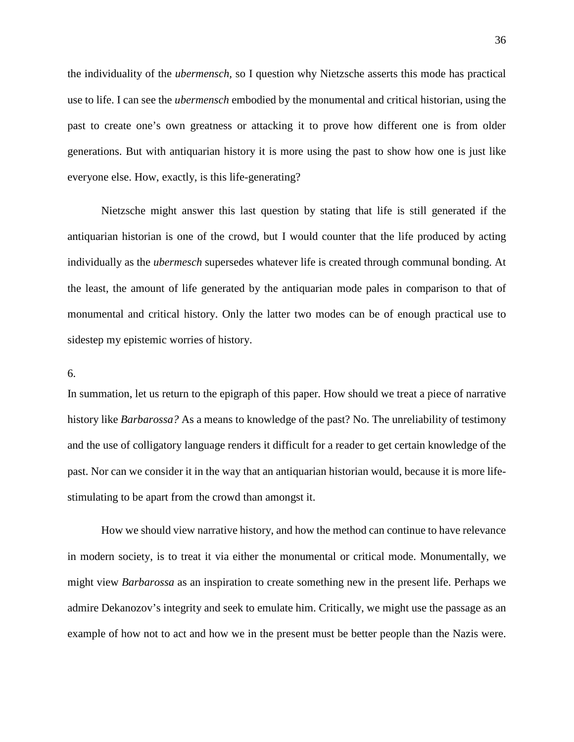the individuality of the *ubermensch,* so I question why Nietzsche asserts this mode has practical use to life. I can see the *ubermensch* embodied by the monumental and critical historian, using the past to create one's own greatness or attacking it to prove how different one is from older generations. But with antiquarian history it is more using the past to show how one is just like everyone else. How, exactly, is this life-generating?

Nietzsche might answer this last question by stating that life is still generated if the antiquarian historian is one of the crowd, but I would counter that the life produced by acting individually as the *ubermesch* supersedes whatever life is created through communal bonding. At the least, the amount of life generated by the antiquarian mode pales in comparison to that of monumental and critical history. Only the latter two modes can be of enough practical use to sidestep my epistemic worries of history.

#### 6.

In summation, let us return to the epigraph of this paper. How should we treat a piece of narrative history like *Barbarossa?* As a means to knowledge of the past? No. The unreliability of testimony and the use of colligatory language renders it difficult for a reader to get certain knowledge of the past. Nor can we consider it in the way that an antiquarian historian would, because it is more lifestimulating to be apart from the crowd than amongst it.

How we should view narrative history, and how the method can continue to have relevance in modern society, is to treat it via either the monumental or critical mode. Monumentally, we might view *Barbarossa* as an inspiration to create something new in the present life. Perhaps we admire Dekanozov's integrity and seek to emulate him. Critically, we might use the passage as an example of how not to act and how we in the present must be better people than the Nazis were.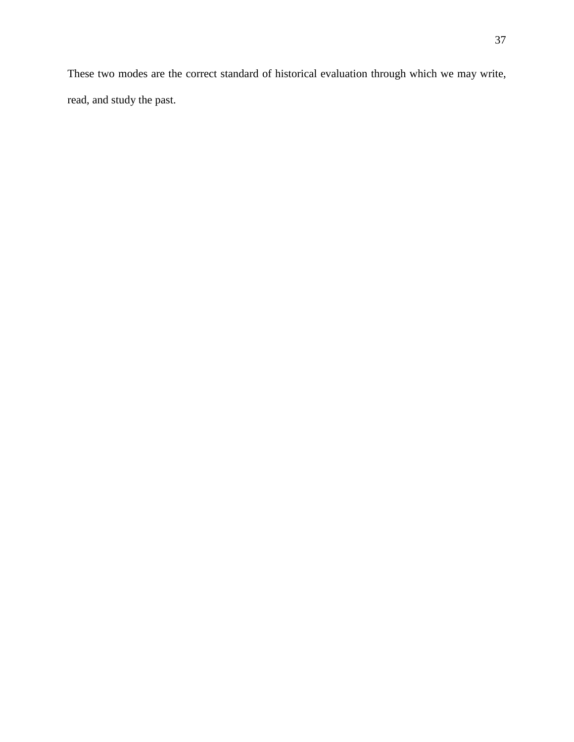These two modes are the correct standard of historical evaluation through which we may write, read, and study the past.